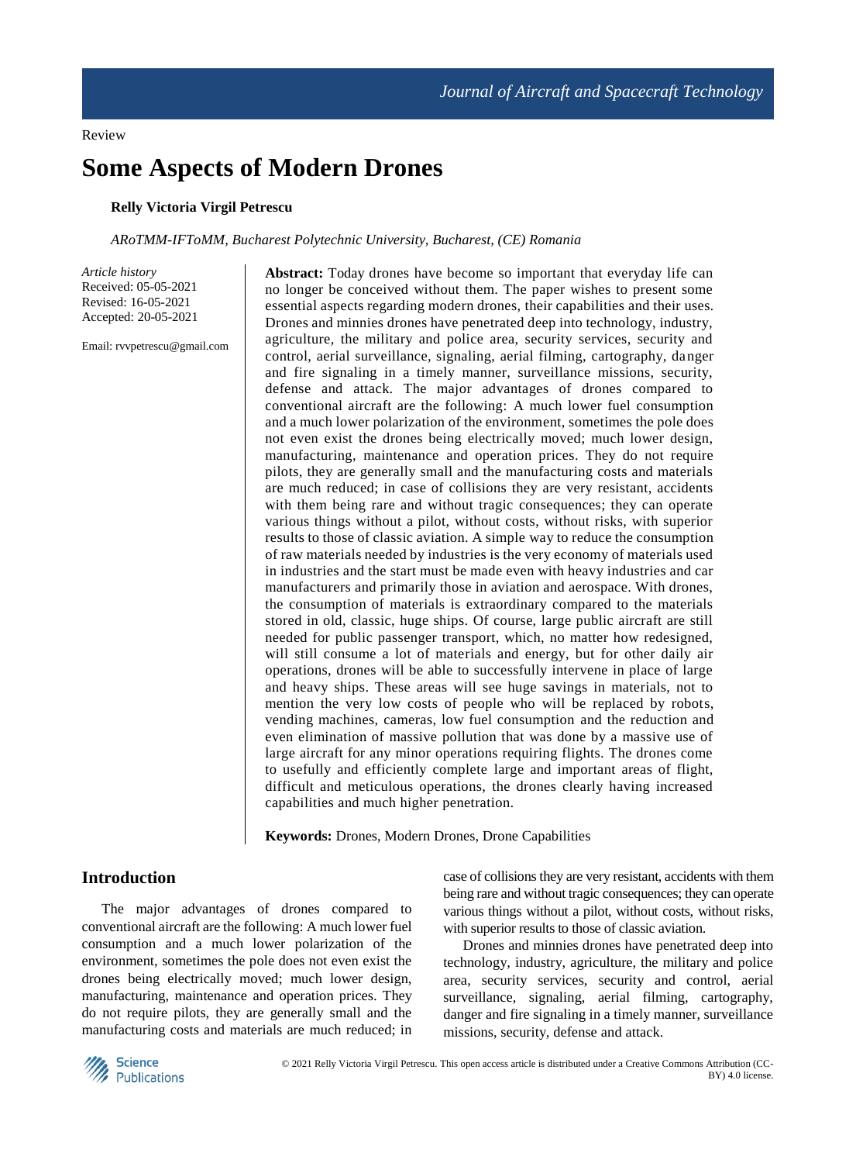#### Review

# **Some Aspects of Modern Drones**

# **Relly Victoria Virgil Petrescu**

#### *ARoTMM-IFToMM, Bucharest Polytechnic University, Bucharest, (CE) Romania*

*Article history* Received: 05-05-2021 Revised: 16-05-2021 Accepted: 20-05-2021

Email: rvvpetrescu@gmail.com

**Abstract:** Today drones have become so important that everyday life can no longer be conceived without them. The paper wishes to present some essential aspects regarding modern drones, their capabilities and their uses. Drones and minnies drones have penetrated deep into technology, industry, agriculture, the military and police area, security services, security and control, aerial surveillance, signaling, aerial filming, cartography, danger and fire signaling in a timely manner, surveillance missions, security, defense and attack. The major advantages of drones compared to conventional aircraft are the following: A much lower fuel consumption and a much lower polarization of the environment, sometimes the pole does not even exist the drones being electrically moved; much lower design, manufacturing, maintenance and operation prices. They do not require pilots, they are generally small and the manufacturing costs and materials are much reduced; in case of collisions they are very resistant, accidents with them being rare and without tragic consequences; they can operate various things without a pilot, without costs, without risks, with superior results to those of classic aviation. A simple way to reduce the consumption of raw materials needed by industries is the very economy of materials used in industries and the start must be made even with heavy industries and car manufacturers and primarily those in aviation and aerospace. With drones, the consumption of materials is extraordinary compared to the materials stored in old, classic, huge ships. Of course, large public aircraft are still needed for public passenger transport, which, no matter how redesigned, will still consume a lot of materials and energy, but for other daily air operations, drones will be able to successfully intervene in place of large and heavy ships. These areas will see huge savings in materials, not to mention the very low costs of people who will be replaced by robots, vending machines, cameras, low fuel consumption and the reduction and even elimination of massive pollution that was done by a massive use of large aircraft for any minor operations requiring flights. The drones come to usefully and efficiently complete large and important areas of flight, difficult and meticulous operations, the drones clearly having increased capabilities and much higher penetration.

**Keywords:** Drones, Modern Drones, Drone Capabilities

# **Introduction**

The major advantages of drones compared to conventional aircraft are the following: A much lower fuel consumption and a much lower polarization of the environment, sometimes the pole does not even exist the drones being electrically moved; much lower design, manufacturing, maintenance and operation prices. They do not require pilots, they are generally small and the manufacturing costs and materials are much reduced; in case of collisions they are very resistant, accidents with them being rare and without tragic consequences; they can operate various things without a pilot, without costs, without risks, with superior results to those of classic aviation.

Drones and minnies drones have penetrated deep into technology, industry, agriculture, the military and police area, security services, security and control, aerial surveillance, signaling, aerial filming, cartography, danger and fire signaling in a timely manner, surveillance missions, security, defense and attack.

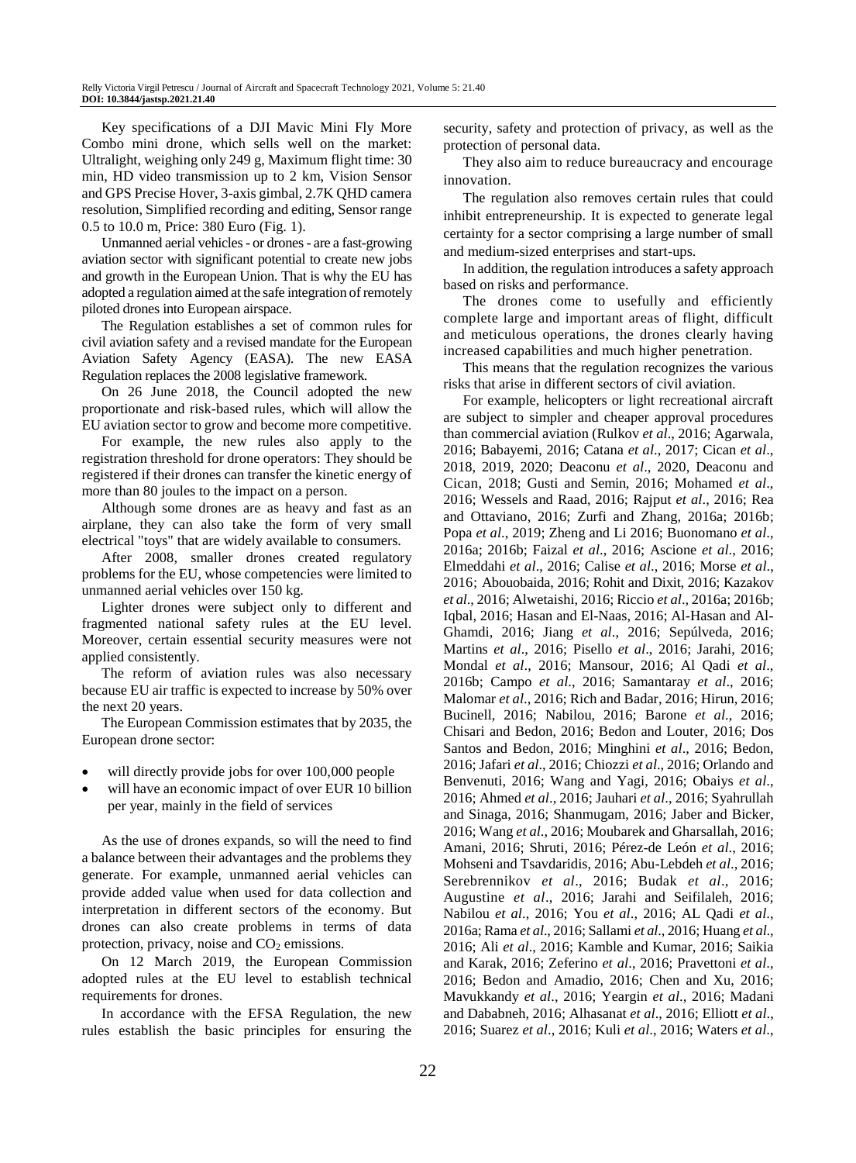Key specifications of a DJI Mavic Mini Fly More Combo mini drone, which sells well on the market: Ultralight, weighing only 249 g, Maximum flight time: 30 min, HD video transmission up to 2 km, Vision Sensor and GPS Precise Hover, 3-axis gimbal, 2.7K QHD camera resolution, Simplified recording and editing, Sensor range 0.5 to 10.0 m, Price: 380 Euro (Fig. 1).

Unmanned aerial vehicles - or drones - are a fast-growing aviation sector with significant potential to create new jobs and growth in the European Union. That is why the EU has adopted a regulation aimed at the safe integration of remotely piloted drones into European airspace.

The Regulation establishes a set of common rules for civil aviation safety and a revised mandate for the European Aviation Safety Agency (EASA). The new EASA Regulation replaces the 2008 legislative framework.

On 26 June 2018, the Council adopted the new proportionate and risk-based rules, which will allow the EU aviation sector to grow and become more competitive.

For example, the new rules also apply to the registration threshold for drone operators: They should be registered if their drones can transfer the kinetic energy of more than 80 joules to the impact on a person.

Although some drones are as heavy and fast as an airplane, they can also take the form of very small electrical "toys" that are widely available to consumers.

After 2008, smaller drones created regulatory problems for the EU, whose competencies were limited to unmanned aerial vehicles over 150 kg.

Lighter drones were subject only to different and fragmented national safety rules at the EU level. Moreover, certain essential security measures were not applied consistently.

The reform of aviation rules was also necessary because EU air traffic is expected to increase by 50% over the next 20 years.

The European Commission estimates that by 2035, the European drone sector:

- will directly provide jobs for over 100,000 people
- will have an economic impact of over EUR 10 billion per year, mainly in the field of services

As the use of drones expands, so will the need to find a balance between their advantages and the problems they generate. For example, unmanned aerial vehicles can provide added value when used for data collection and interpretation in different sectors of the economy. But drones can also create problems in terms of data protection, privacy, noise and  $CO<sub>2</sub>$  emissions.

On 12 March 2019, the European Commission adopted rules at the EU level to establish technical requirements for drones.

In accordance with the EFSA Regulation, the new rules establish the basic principles for ensuring the security, safety and protection of privacy, as well as the protection of personal data.

They also aim to reduce bureaucracy and encourage innovation.

The regulation also removes certain rules that could inhibit entrepreneurship. It is expected to generate legal certainty for a sector comprising a large number of small and medium-sized enterprises and start-ups.

In addition, the regulation introduces a safety approach based on risks and performance.

The drones come to usefully and efficiently complete large and important areas of flight, difficult and meticulous operations, the drones clearly having increased capabilities and much higher penetration.

This means that the regulation recognizes the various risks that arise in different sectors of civil aviation.

For example, helicopters or light recreational aircraft are subject to simpler and cheaper approval procedures than commercial aviation (Rulkov *et al*., 2016; Agarwala, 2016; Babayemi, 2016; Catana *et al*., 2017; Cican *et al*., 2018, 2019, 2020; Deaconu *et al*., 2020, Deaconu and Cican, 2018; Gusti and Semin, 2016; Mohamed *et al*., 2016; Wessels and Raad, 2016; Rajput *et al*., 2016; Rea and Ottaviano, 2016; Zurfi and Zhang, 2016a; 2016b; Popa *et al*., 2019; Zheng and Li 2016; Buonomano *et al*., 2016a; 2016b; Faizal *et al*., 2016; Ascione *et al*., 2016; Elmeddahi *et al*., 2016; Calise *et al*., 2016; Morse *et al*., 2016; Abouobaida, 2016; Rohit and Dixit, 2016; Kazakov *et al*., 2016; Alwetaishi, 2016; Riccio *et al*., 2016a; 2016b; Iqbal, 2016; Hasan and El-Naas, 2016; Al-Hasan and Al-Ghamdi, 2016; Jiang *et al*., 2016; Sepúlveda, 2016; Martins *et al*., 2016; Pisello *et al*., 2016; Jarahi, 2016; Mondal *et al*., 2016; Mansour, 2016; Al Qadi *et al*., 2016b; Campo *et al*., 2016; Samantaray *et al*., 2016; Malomar *et al*., 2016; Rich and Badar, 2016; Hirun, 2016; Bucinell, 2016; Nabilou, 2016; Barone *et al*., 2016; Chisari and Bedon, 2016; Bedon and Louter, 2016; Dos Santos and Bedon, 2016; Minghini *et al*., 2016; Bedon, 2016; Jafari *et al*., 2016; Chiozzi *et al*., 2016; Orlando and Benvenuti, 2016; Wang and Yagi, 2016; Obaiys *et al*., 2016; Ahmed *et al*., 2016; Jauhari *et al*., 2016; Syahrullah and Sinaga, 2016; Shanmugam, 2016; Jaber and Bicker, 2016; Wang *et al*., 2016; Moubarek and Gharsallah, 2016; Amani, 2016; Shruti, 2016; Pérez-de León *et al*., 2016; Mohseni and Tsavdaridis, 2016; Abu-Lebdeh *et al*., 2016; Serebrennikov *et al*., 2016; Budak *et al*., 2016; Augustine *et al*., 2016; Jarahi and Seifilaleh, 2016; Nabilou *et al*., 2016; You *et al*., 2016; AL Qadi *et al*., 2016a; Rama *et al*., 2016; Sallami *et al*., 2016; Huang *et al*., 2016; Ali *et al*., 2016; Kamble and Kumar, 2016; Saikia and Karak, 2016; Zeferino *et al*., 2016; Pravettoni *et al*., 2016; Bedon and Amadio, 2016; Chen and Xu, 2016; Mavukkandy *et al*., 2016; Yeargin *et al*., 2016; Madani and Dababneh, 2016; Alhasanat *et al*., 2016; Elliott *et al*., 2016; Suarez *et al*., 2016; Kuli *et al*., 2016; Waters *et al*.,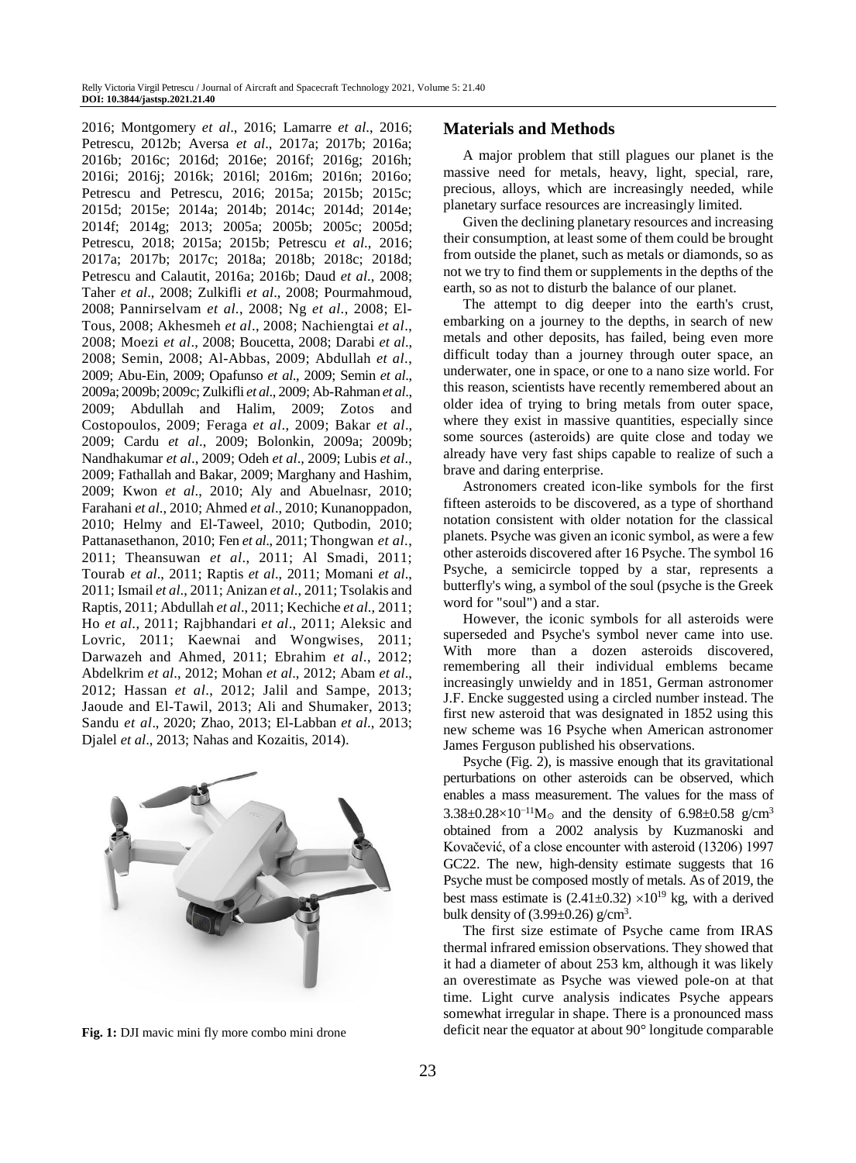2016; Montgomery *et al*., 2016; Lamarre *et al*., 2016; Petrescu, 2012b; Aversa *et al*., 2017a; 2017b; 2016a; 2016b; 2016c; 2016d; 2016e; 2016f; 2016g; 2016h; 2016i; 2016j; 2016k; 2016l; 2016m; 2016n; 2016o; Petrescu and Petrescu, 2016; 2015a; 2015b; 2015c; 2015d; 2015e; 2014a; 2014b; 2014c; 2014d; 2014e; 2014f; 2014g; 2013; 2005a; 2005b; 2005c; 2005d; Petrescu, 2018; 2015a; 2015b; Petrescu *et al*., 2016; 2017a; 2017b; 2017c; 2018a; 2018b; 2018c; 2018d; Petrescu and Calautit, 2016a; 2016b; Daud *et al*., 2008; Taher *et al*., 2008; Zulkifli *et al*., 2008; Pourmahmoud, 2008; Pannirselvam *et al*., 2008; Ng *et al*., 2008; El-Tous, 2008; Akhesmeh *et al*., 2008; Nachiengtai *et al*., 2008; Moezi *et al*., 2008; Boucetta, 2008; Darabi *et al*., 2008; Semin, 2008; Al-Abbas, 2009; Abdullah *et al*., 2009; Abu-Ein, 2009; Opafunso *et al*., 2009; Semin *et al*., 2009a; 2009b; 2009c; Zulkifli *et al*., 2009; Ab-Rahman *et al*., 2009; Abdullah and Halim, 2009; Zotos and Costopoulos, 2009; Feraga *et al*., 2009; Bakar *et al*., 2009; Cardu *et al*., 2009; Bolonkin, 2009a; 2009b; Nandhakumar *et al*., 2009; Odeh *et al*., 2009; Lubis *et al*., 2009; Fathallah and Bakar, 2009; Marghany and Hashim, 2009; Kwon *et al*., 2010; Aly and Abuelnasr, 2010; Farahani *et al*., 2010; Ahmed *et al*., 2010; Kunanoppadon, 2010; Helmy and El-Taweel, 2010; Qutbodin, 2010; Pattanasethanon, 2010; Fen *et al*., 2011; Thongwan *et al*., 2011; Theansuwan *et al*., 2011; Al Smadi, 2011; Tourab *et al*., 2011; Raptis *et al*., 2011; Momani *et al*., 2011; Ismail *et al*., 2011; Anizan *et al*., 2011; Tsolakis and Raptis, 2011; Abdullah *et al*., 2011; Kechiche *et al*., 2011; Ho *et al*., 2011; Rajbhandari *et al*., 2011; Aleksic and Lovric, 2011; Kaewnai and Wongwises, 2011; Darwazeh and Ahmed, 2011; Ebrahim *et al*., 2012; Abdelkrim *et al*., 2012; Mohan *et al*., 2012; Abam *et al*., 2012; Hassan *et al*., 2012; Jalil and Sampe, 2013; Jaoude and El-Tawil, 2013; Ali and Shumaker, 2013; Sandu *et al*., 2020; Zhao, 2013; El-Labban *et al*., 2013; Djalel *et al*., 2013; Nahas and Kozaitis, 2014).



**Fig. 1:** DJI mavic mini fly more combo mini drone

# **Materials and Methods**

A major problem that still plagues our planet is the massive need for metals, heavy, light, special, rare, precious, alloys, which are increasingly needed, while planetary surface resources are increasingly limited.

Given the declining planetary resources and increasing their consumption, at least some of them could be brought from outside the planet, such as metals or diamonds, so as not we try to find them or supplements in the depths of the earth, so as not to disturb the balance of our planet.

The attempt to dig deeper into the earth's crust, embarking on a journey to the depths, in search of new metals and other deposits, has failed, being even more difficult today than a journey through outer space, an underwater, one in space, or one to a nano size world. For this reason, scientists have recently remembered about an older idea of trying to bring metals from outer space, where they exist in massive quantities, especially since some sources (asteroids) are quite close and today we already have very fast ships capable to realize of such a brave and daring enterprise.

Astronomers created icon-like symbols for the first fifteen asteroids to be discovered, as a type of shorthand notation consistent with older notation for the classical planets. Psyche was given an iconic symbol, as were a few other asteroids discovered after 16 Psyche. The symbol 16 Psyche, a semicircle topped by a star, represents a butterfly's wing, a symbol of the soul (psyche is the Greek word for "soul") and a star.

However, the iconic symbols for all asteroids were superseded and Psyche's symbol never came into use. With more than a dozen asteroids discovered, remembering all their individual emblems became increasingly unwieldy and in 1851, German astronomer J.F. Encke suggested using a circled number instead. The first new asteroid that was designated in 1852 using this new scheme was 16 Psyche when American astronomer James Ferguson published his observations.

Psyche (Fig. 2), is massive enough that its gravitational perturbations on other asteroids can be observed, which enables a mass measurement. The values for the mass of  $3.38\pm0.28\times10^{-11}$ M☉ and the density of 6.98 $\pm$ 0.58 g/cm<sup>3</sup> obtained from a 2002 analysis by Kuzmanoski and Kovačević, of a close encounter with asteroid (13206) 1997 GC22. The new, high-density estimate suggests that 16 Psyche must be composed mostly of metals. As of 2019, the best mass estimate is  $(2.41\pm 0.32) \times 10^{19}$  kg, with a derived bulk density of  $(3.99 \pm 0.26)$  g/cm<sup>3</sup>.

The first size estimate of Psyche came from IRAS thermal infrared emission observations. They showed that it had a diameter of about 253 km, although it was likely an overestimate as Psyche was viewed pole-on at that time. Light curve analysis indicates Psyche appears somewhat irregular in shape. There is a pronounced mass deficit near the equator at about 90° longitude comparable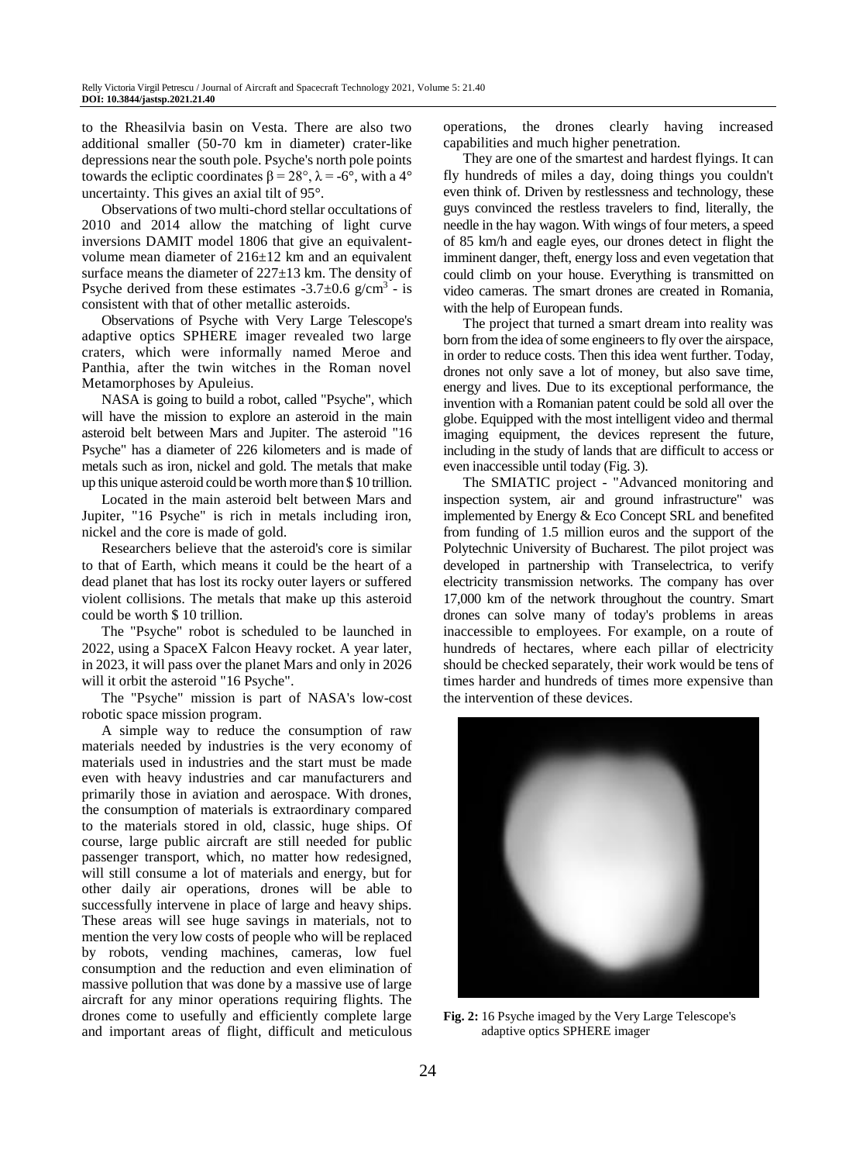to the Rheasilvia basin on Vesta. There are also two additional smaller (50-70 km in diameter) crater-like depressions near the south pole. Psyche's north pole points towards the ecliptic coordinates  $β = 28°$ ,  $λ = -6°$ , with a 4° uncertainty. This gives an axial tilt of 95°.

Observations of two multi-chord stellar occultations of 2010 and 2014 allow the matching of light curve inversions DAMIT model 1806 that give an equivalentvolume mean diameter of 216±12 km and an equivalent surface means the diameter of 227±13 km. The density of Psyche derived from these estimates  $-3.7 \pm 0.6$  g/cm<sup>3</sup> - is consistent with that of other metallic asteroids.

Observations of Psyche with Very Large Telescope's adaptive optics SPHERE imager revealed two large craters, which were informally named Meroe and Panthia, after the twin witches in the Roman novel Metamorphoses by Apuleius.

NASA is going to build a robot, called "Psyche", which will have the mission to explore an asteroid in the main asteroid belt between Mars and Jupiter. The asteroid "16 Psyche" has a diameter of 226 kilometers and is made of metals such as iron, nickel and gold. The metals that make up this unique asteroid could be worth more than \$ 10 trillion.

Located in the main asteroid belt between Mars and Jupiter, "16 Psyche" is rich in metals including iron, nickel and the core is made of gold.

Researchers believe that the asteroid's core is similar to that of Earth, which means it could be the heart of a dead planet that has lost its rocky outer layers or suffered violent collisions. The metals that make up this asteroid could be worth \$ 10 trillion.

The "Psyche" robot is scheduled to be launched in 2022, using a SpaceX Falcon Heavy rocket. A year later, in 2023, it will pass over the planet Mars and only in 2026 will it orbit the asteroid "16 Psyche".

The "Psyche" mission is part of NASA's low-cost robotic space mission program.

A simple way to reduce the consumption of raw materials needed by industries is the very economy of materials used in industries and the start must be made even with heavy industries and car manufacturers and primarily those in aviation and aerospace. With drones, the consumption of materials is extraordinary compared to the materials stored in old, classic, huge ships. Of course, large public aircraft are still needed for public passenger transport, which, no matter how redesigned, will still consume a lot of materials and energy, but for other daily air operations, drones will be able to successfully intervene in place of large and heavy ships. These areas will see huge savings in materials, not to mention the very low costs of people who will be replaced by robots, vending machines, cameras, low fuel consumption and the reduction and even elimination of massive pollution that was done by a massive use of large aircraft for any minor operations requiring flights. The drones come to usefully and efficiently complete large and important areas of flight, difficult and meticulous

operations, the drones clearly having increased capabilities and much higher penetration.

They are one of the smartest and hardest flyings. It can fly hundreds of miles a day, doing things you couldn't even think of. Driven by restlessness and technology, these guys convinced the restless travelers to find, literally, the needle in the hay wagon. With wings of four meters, a speed of 85 km/h and eagle eyes, our drones detect in flight the imminent danger, theft, energy loss and even vegetation that could climb on your house. Everything is transmitted on video cameras. The smart drones are created in Romania, with the help of European funds.

The project that turned a smart dream into reality was born from the idea of some engineers to fly over the airspace, in order to reduce costs. Then this idea went further. Today, drones not only save a lot of money, but also save time, energy and lives. Due to its exceptional performance, the invention with a Romanian patent could be sold all over the globe. Equipped with the most intelligent video and thermal imaging equipment, the devices represent the future, including in the study of lands that are difficult to access or even inaccessible until today (Fig. 3).

The SMIATIC project - "Advanced monitoring and inspection system, air and ground infrastructure" was implemented by Energy & Eco Concept SRL and benefited from funding of 1.5 million euros and the support of the Polytechnic University of Bucharest. The pilot project was developed in partnership with Transelectrica, to verify electricity transmission networks. The company has over 17,000 km of the network throughout the country. Smart drones can solve many of today's problems in areas inaccessible to employees. For example, on a route of hundreds of hectares, where each pillar of electricity should be checked separately, their work would be tens of times harder and hundreds of times more expensive than the intervention of these devices.



**Fig. 2:** 16 Psyche imaged by the Very Large Telescope's adaptive optics SPHERE imager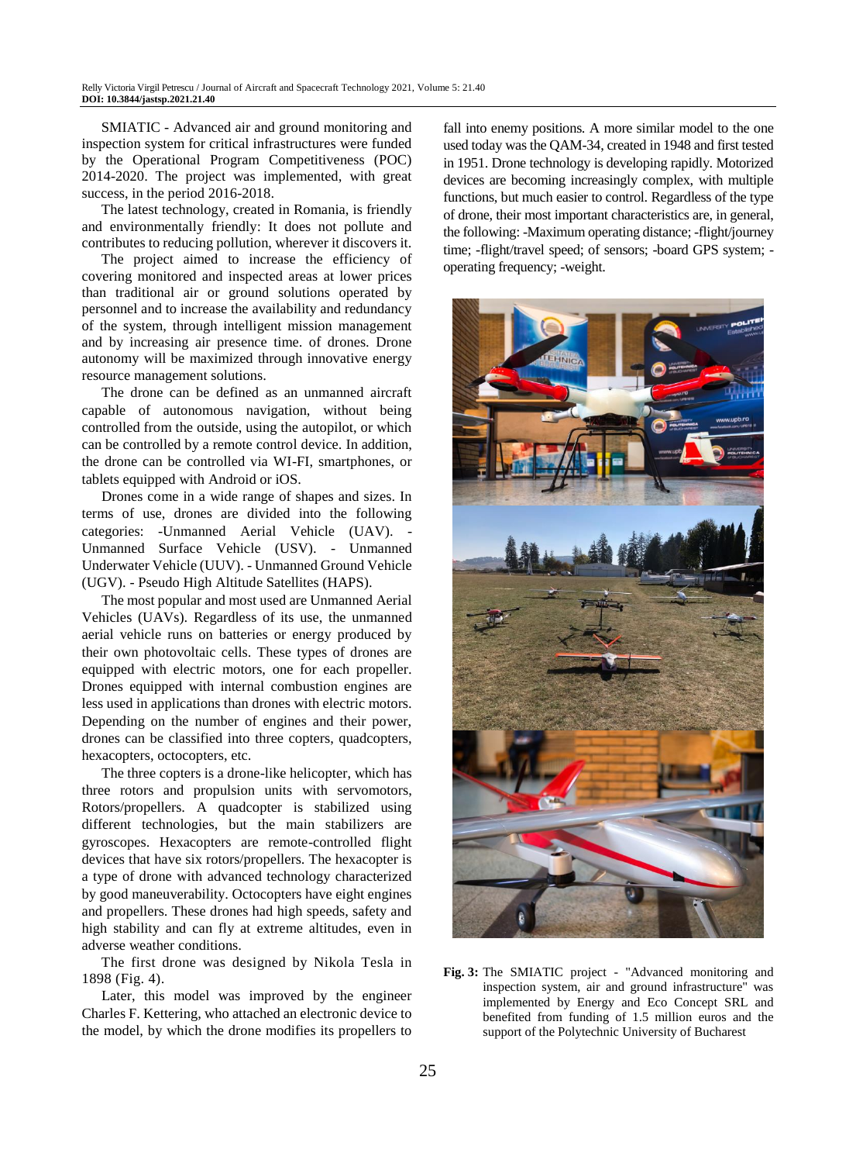SMIATIC - Advanced air and ground monitoring and inspection system for critical infrastructures were funded by the Operational Program Competitiveness (POC) 2014-2020. The project was implemented, with great success, in the period 2016-2018.

The latest technology, created in Romania, is friendly and environmentally friendly: It does not pollute and contributes to reducing pollution, wherever it discovers it.

The project aimed to increase the efficiency of covering monitored and inspected areas at lower prices than traditional air or ground solutions operated by personnel and to increase the availability and redundancy of the system, through intelligent mission management and by increasing air presence time. of drones. Drone autonomy will be maximized through innovative energy resource management solutions.

The drone can be defined as an unmanned aircraft capable of autonomous navigation, without being controlled from the outside, using the autopilot, or which can be controlled by a remote control device. In addition, the drone can be controlled via WI-FI, smartphones, or tablets equipped with Android or iOS.

Drones come in a wide range of shapes and sizes. In terms of use, drones are divided into the following categories: -Unmanned Aerial Vehicle (UAV). - Unmanned Surface Vehicle (USV). - Unmanned Underwater Vehicle (UUV). - Unmanned Ground Vehicle (UGV). - Pseudo High Altitude Satellites (HAPS).

The most popular and most used are Unmanned Aerial Vehicles (UAVs). Regardless of its use, the unmanned aerial vehicle runs on batteries or energy produced by their own photovoltaic cells. These types of drones are equipped with electric motors, one for each propeller. Drones equipped with internal combustion engines are less used in applications than drones with electric motors. Depending on the number of engines and their power, drones can be classified into three copters, quadcopters, hexacopters, octocopters, etc.

The three copters is a drone-like helicopter, which has three rotors and propulsion units with servomotors, Rotors/propellers. A quadcopter is stabilized using different technologies, but the main stabilizers are gyroscopes. Hexacopters are remote-controlled flight devices that have six rotors/propellers. The hexacopter is a type of drone with advanced technology characterized by good maneuverability. Octocopters have eight engines and propellers. These drones had high speeds, safety and high stability and can fly at extreme altitudes, even in adverse weather conditions.

The first drone was designed by Nikola Tesla in 1898 (Fig. 4).

Later, this model was improved by the engineer Charles F. Kettering, who attached an electronic device to the model, by which the drone modifies its propellers to fall into enemy positions. A more similar model to the one used today was the QAM-34, created in 1948 and first tested in 1951. Drone technology is developing rapidly. Motorized devices are becoming increasingly complex, with multiple functions, but much easier to control. Regardless of the type of drone, their most important characteristics are, in general, the following: -Maximum operating distance; -flight/journey time; -flight/travel speed; of sensors; -board GPS system; operating frequency; -weight.



**Fig. 3:** The SMIATIC project - "Advanced monitoring and inspection system, air and ground infrastructure" was implemented by Energy and Eco Concept SRL and benefited from funding of 1.5 million euros and the support of the Polytechnic University of Bucharest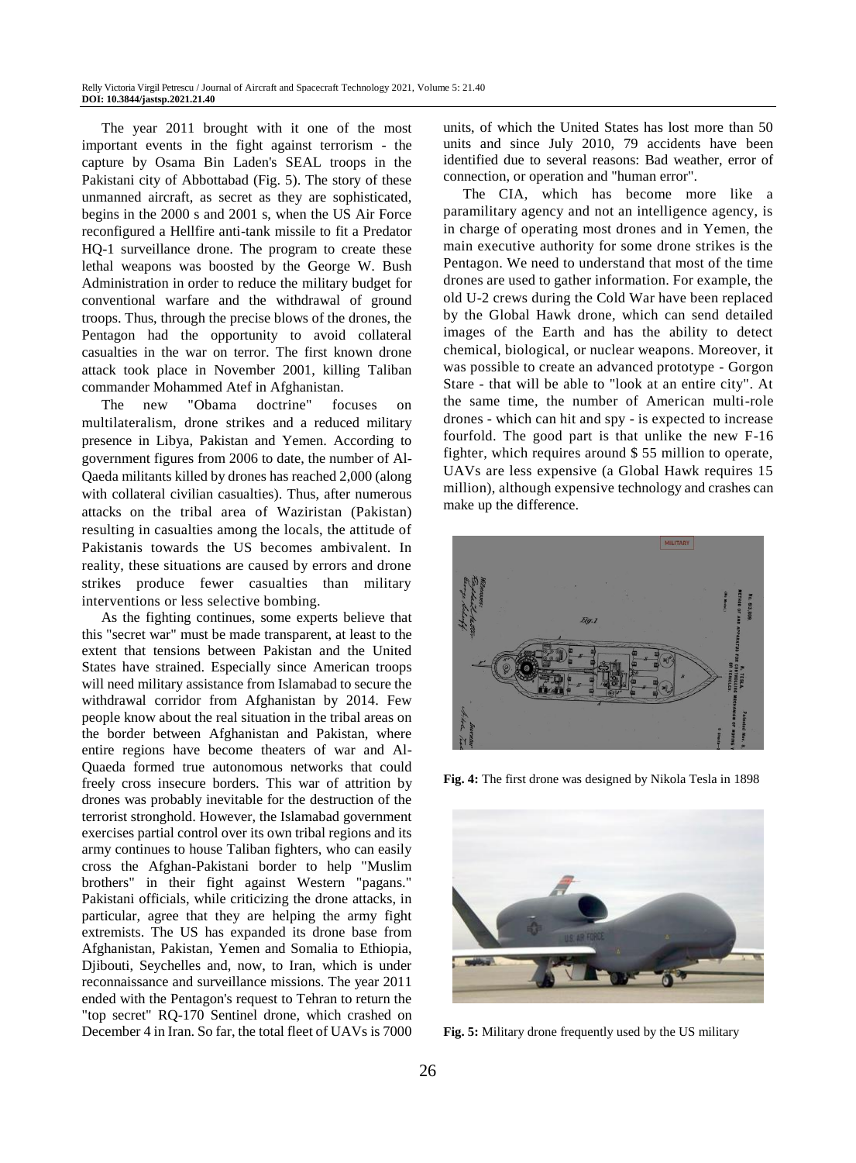The year 2011 brought with it one of the most important events in the fight against terrorism - the capture by Osama Bin Laden's SEAL troops in the Pakistani city of Abbottabad (Fig. 5). The story of these unmanned aircraft, as secret as they are sophisticated, begins in the 2000 s and 2001 s, when the US Air Force reconfigured a Hellfire anti-tank missile to fit a Predator HQ-1 surveillance drone. The program to create these lethal weapons was boosted by the George W. Bush Administration in order to reduce the military budget for conventional warfare and the withdrawal of ground troops. Thus, through the precise blows of the drones, the Pentagon had the opportunity to avoid collateral casualties in the war on terror. The first known drone attack took place in November 2001, killing Taliban commander Mohammed Atef in Afghanistan.

The new "Obama doctrine" focuses on multilateralism, drone strikes and a reduced military presence in Libya, Pakistan and Yemen. According to government figures from 2006 to date, the number of Al-Qaeda militants killed by drones has reached 2,000 (along with collateral civilian casualties). Thus, after numerous attacks on the tribal area of Waziristan (Pakistan) resulting in casualties among the locals, the attitude of Pakistanis towards the US becomes ambivalent. In reality, these situations are caused by errors and drone strikes produce fewer casualties than military interventions or less selective bombing.

As the fighting continues, some experts believe that this "secret war" must be made transparent, at least to the extent that tensions between Pakistan and the United States have strained. Especially since American troops will need military assistance from Islamabad to secure the withdrawal corridor from Afghanistan by 2014. Few people know about the real situation in the tribal areas on the border between Afghanistan and Pakistan, where entire regions have become theaters of war and Al-Quaeda formed true autonomous networks that could freely cross insecure borders. This war of attrition by drones was probably inevitable for the destruction of the terrorist stronghold. However, the Islamabad government exercises partial control over its own tribal regions and its army continues to house Taliban fighters, who can easily cross the Afghan-Pakistani border to help "Muslim brothers" in their fight against Western "pagans." Pakistani officials, while criticizing the drone attacks, in particular, agree that they are helping the army fight extremists. The US has expanded its drone base from Afghanistan, Pakistan, Yemen and Somalia to Ethiopia, Djibouti, Seychelles and, now, to Iran, which is under reconnaissance and surveillance missions. The year 2011 ended with the Pentagon's request to Tehran to return the "top secret" RQ-170 Sentinel drone, which crashed on December 4 in Iran. So far, the total fleet of UAVs is 7000

units, of which the United States has lost more than 50 units and since July 2010, 79 accidents have been identified due to several reasons: Bad weather, error of connection, or operation and "human error".

The CIA, which has become more like a paramilitary agency and not an intelligence agency, is in charge of operating most drones and in Yemen, the main executive authority for some drone strikes is the Pentagon. We need to understand that most of the time drones are used to gather information. For example, the old U-2 crews during the Cold War have been replaced by the Global Hawk drone, which can send detailed images of the Earth and has the ability to detect chemical, biological, or nuclear weapons. Moreover, it was possible to create an advanced prototype - Gorgon Stare - that will be able to "look at an entire city". At the same time, the number of American multi-role drones - which can hit and spy - is expected to increase fourfold. The good part is that unlike the new F-16 fighter, which requires around \$ 55 million to operate, UAVs are less expensive (a Global Hawk requires 15 million), although expensive technology and crashes can make up the difference.



**Fig. 4:** The first drone was designed by Nikola Tesla in 1898



**Fig. 5:** Military drone frequently used by the US military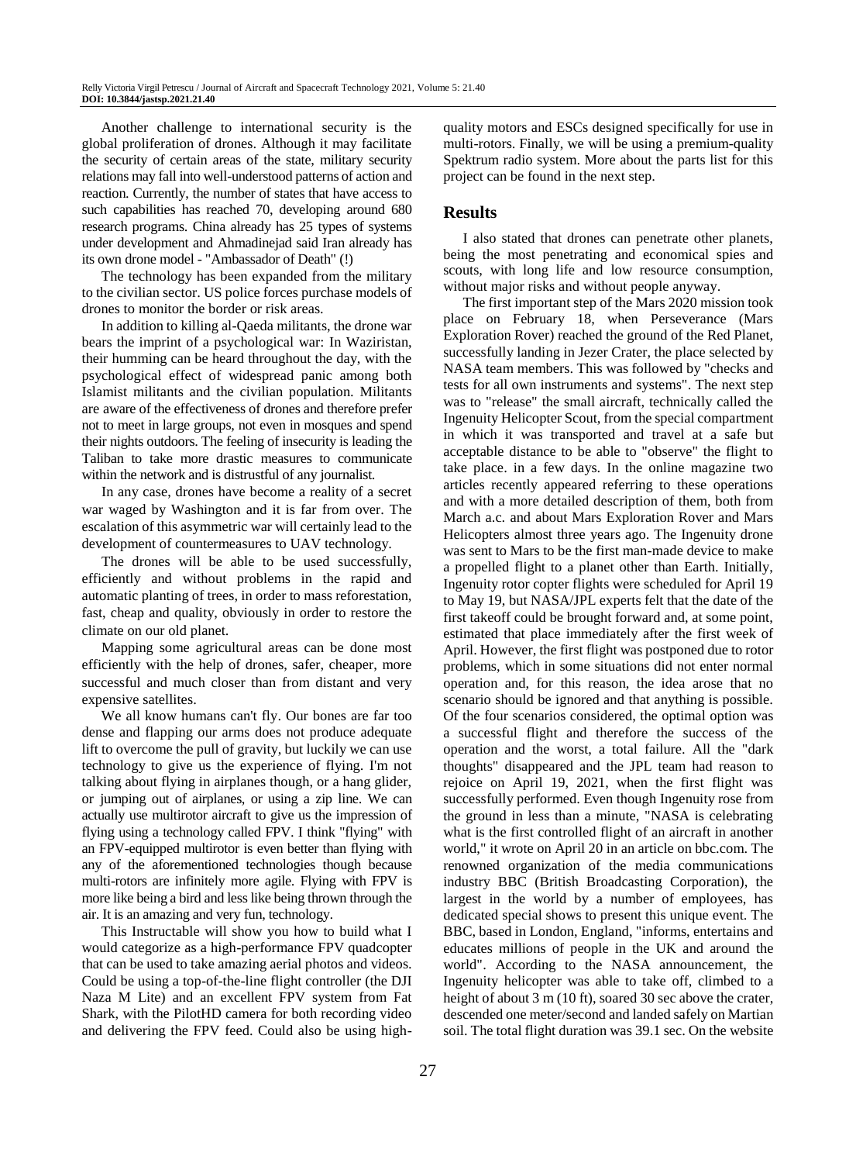Another challenge to international security is the global proliferation of drones. Although it may facilitate the security of certain areas of the state, military security relations may fall into well-understood patterns of action and reaction. Currently, the number of states that have access to such capabilities has reached 70, developing around 680 research programs. China already has 25 types of systems under development and Ahmadinejad said Iran already has its own drone model - "Ambassador of Death" (!)

The technology has been expanded from the military to the civilian sector. US police forces purchase models of drones to monitor the border or risk areas.

In addition to killing al-Qaeda militants, the drone war bears the imprint of a psychological war: In Waziristan, their humming can be heard throughout the day, with the psychological effect of widespread panic among both Islamist militants and the civilian population. Militants are aware of the effectiveness of drones and therefore prefer not to meet in large groups, not even in mosques and spend their nights outdoors. The feeling of insecurity is leading the Taliban to take more drastic measures to communicate within the network and is distrustful of any journalist.

In any case, drones have become a reality of a secret war waged by Washington and it is far from over. The escalation of this asymmetric war will certainly lead to the development of countermeasures to UAV technology.

The drones will be able to be used successfully, efficiently and without problems in the rapid and automatic planting of trees, in order to mass reforestation, fast, cheap and quality, obviously in order to restore the climate on our old planet.

Mapping some agricultural areas can be done most efficiently with the help of drones, safer, cheaper, more successful and much closer than from distant and very expensive satellites.

We all know humans can't fly. Our bones are far too dense and flapping our arms does not produce adequate lift to overcome the pull of gravity, but luckily we can use technology to give us the experience of flying. I'm not talking about flying in airplanes though, or a hang glider, or jumping out of airplanes, or using a zip line. We can actually use multirotor aircraft to give us the impression of flying using a technology called FPV. I think "flying" with an FPV-equipped multirotor is even better than flying with any of the aforementioned technologies though because multi-rotors are infinitely more agile. Flying with FPV is more like being a bird and less like being thrown through the air. It is an amazing and very fun, technology.

This Instructable will show you how to build what I would categorize as a high-performance FPV quadcopter that can be used to take amazing aerial photos and videos. Could be using a top-of-the-line flight controller (the DJI Naza M Lite) and an excellent FPV system from Fat Shark, with the PilotHD camera for both recording video and delivering the FPV feed. Could also be using highquality motors and ESCs designed specifically for use in multi-rotors. Finally, we will be using a premium-quality Spektrum radio system. More about the parts list for this project can be found in the next step.

# **Results**

I also stated that drones can penetrate other planets, being the most penetrating and economical spies and scouts, with long life and low resource consumption, without major risks and without people anyway.

The first important step of the Mars 2020 mission took place on February 18, when Perseverance (Mars Exploration Rover) reached the ground of the Red Planet, successfully landing in Jezer Crater, the place selected by NASA team members. This was followed by "checks and tests for all own instruments and systems". The next step was to "release" the small aircraft, technically called the Ingenuity Helicopter Scout, from the special compartment in which it was transported and travel at a safe but acceptable distance to be able to "observe" the flight to take place. in a few days. In the online magazine two articles recently appeared referring to these operations and with a more detailed description of them, both from March a.c. and about Mars Exploration Rover and Mars Helicopters almost three years ago. The Ingenuity drone was sent to Mars to be the first man-made device to make a propelled flight to a planet other than Earth. Initially, Ingenuity rotor copter flights were scheduled for April 19 to May 19, but NASA/JPL experts felt that the date of the first takeoff could be brought forward and, at some point, estimated that place immediately after the first week of April. However, the first flight was postponed due to rotor problems, which in some situations did not enter normal operation and, for this reason, the idea arose that no scenario should be ignored and that anything is possible. Of the four scenarios considered, the optimal option was a successful flight and therefore the success of the operation and the worst, a total failure. All the "dark thoughts" disappeared and the JPL team had reason to rejoice on April 19, 2021, when the first flight was successfully performed. Even though Ingenuity rose from the ground in less than a minute, "NASA is celebrating what is the first controlled flight of an aircraft in another world," it wrote on April 20 in an article on bbc.com. The renowned organization of the media communications industry BBC (British Broadcasting Corporation), the largest in the world by a number of employees, has dedicated special shows to present this unique event. The BBC, based in London, England, "informs, entertains and educates millions of people in the UK and around the world". According to the NASA announcement, the Ingenuity helicopter was able to take off, climbed to a height of about 3 m (10 ft), soared 30 sec above the crater, descended one meter/second and landed safely on Martian soil. The total flight duration was 39.1 sec. On the website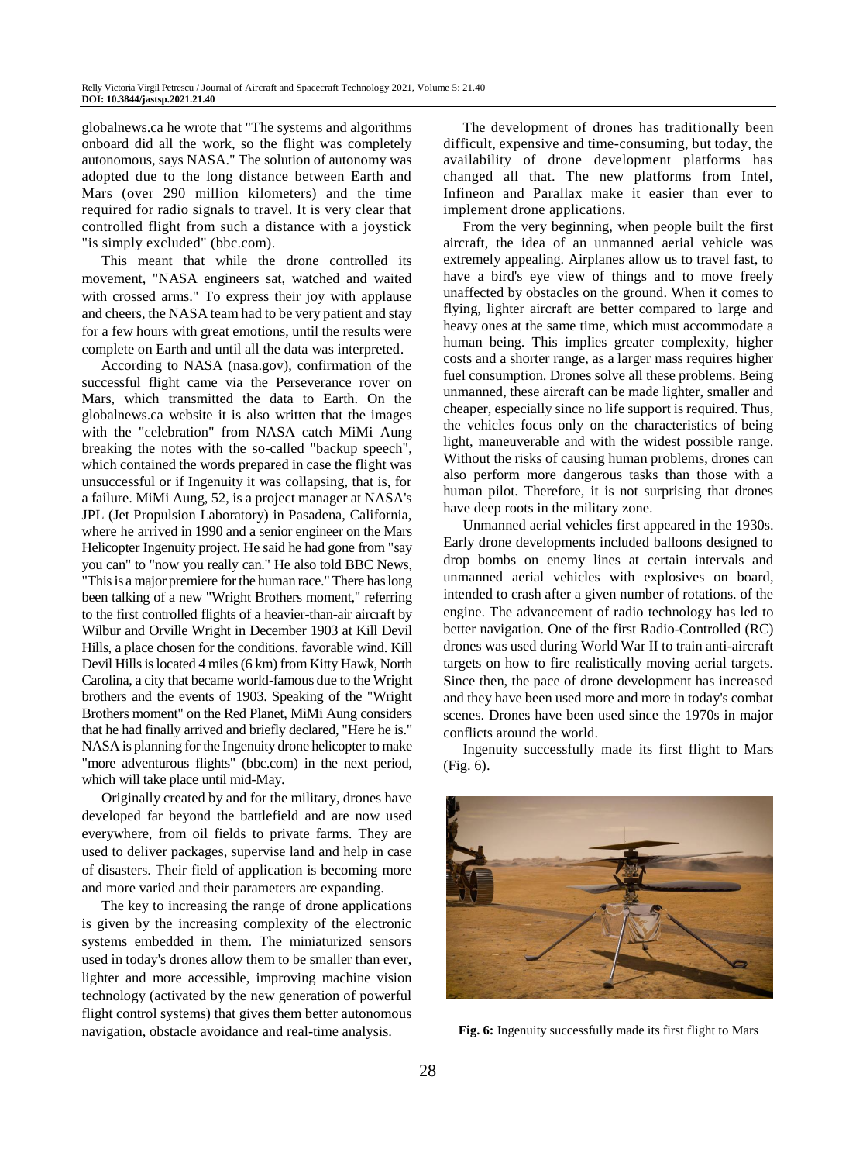globalnews.ca he wrote that "The systems and algorithms onboard did all the work, so the flight was completely autonomous, says NASA." The solution of autonomy was adopted due to the long distance between Earth and Mars (over 290 million kilometers) and the time required for radio signals to travel. It is very clear that controlled flight from such a distance with a joystick "is simply excluded" (bbc.com).

This meant that while the drone controlled its movement, "NASA engineers sat, watched and waited with crossed arms." To express their joy with applause and cheers, the NASA team had to be very patient and stay for a few hours with great emotions, until the results were complete on Earth and until all the data was interpreted.

According to NASA (nasa.gov), confirmation of the successful flight came via the Perseverance rover on Mars, which transmitted the data to Earth. On the globalnews.ca website it is also written that the images with the "celebration" from NASA catch MiMi Aung breaking the notes with the so-called "backup speech", which contained the words prepared in case the flight was unsuccessful or if Ingenuity it was collapsing, that is, for a failure. MiMi Aung, 52, is a project manager at NASA's JPL (Jet Propulsion Laboratory) in Pasadena, California, where he arrived in 1990 and a senior engineer on the Mars Helicopter Ingenuity project. He said he had gone from "say you can" to "now you really can." He also told BBC News, "This is a major premiere for the human race." There has long been talking of a new "Wright Brothers moment," referring to the first controlled flights of a heavier-than-air aircraft by Wilbur and Orville Wright in December 1903 at Kill Devil Hills, a place chosen for the conditions. favorable wind. Kill Devil Hills is located 4 miles (6 km) from Kitty Hawk, North Carolina, a city that became world-famous due to the Wright brothers and the events of 1903. Speaking of the "Wright Brothers moment" on the Red Planet, MiMi Aung considers that he had finally arrived and briefly declared, "Here he is." NASA is planning for the Ingenuity drone helicopter to make "more adventurous flights" (bbc.com) in the next period, which will take place until mid-May.

Originally created by and for the military, drones have developed far beyond the battlefield and are now used everywhere, from oil fields to private farms. They are used to deliver packages, supervise land and help in case of disasters. Their field of application is becoming more and more varied and their parameters are expanding.

The key to increasing the range of drone applications is given by the increasing complexity of the electronic systems embedded in them. The miniaturized sensors used in today's drones allow them to be smaller than ever, lighter and more accessible, improving machine vision technology (activated by the new generation of powerful flight control systems) that gives them better autonomous navigation, obstacle avoidance and real-time analysis.

The development of drones has traditionally been difficult, expensive and time-consuming, but today, the availability of drone development platforms has changed all that. The new platforms from Intel, Infineon and Parallax make it easier than ever to implement drone applications.

From the very beginning, when people built the first aircraft, the idea of an unmanned aerial vehicle was extremely appealing. Airplanes allow us to travel fast, to have a bird's eye view of things and to move freely unaffected by obstacles on the ground. When it comes to flying, lighter aircraft are better compared to large and heavy ones at the same time, which must accommodate a human being. This implies greater complexity, higher costs and a shorter range, as a larger mass requires higher fuel consumption. Drones solve all these problems. Being unmanned, these aircraft can be made lighter, smaller and cheaper, especially since no life support is required. Thus, the vehicles focus only on the characteristics of being light, maneuverable and with the widest possible range. Without the risks of causing human problems, drones can also perform more dangerous tasks than those with a human pilot. Therefore, it is not surprising that drones have deep roots in the military zone.

Unmanned aerial vehicles first appeared in the 1930s. Early drone developments included balloons designed to drop bombs on enemy lines at certain intervals and unmanned aerial vehicles with explosives on board, intended to crash after a given number of rotations. of the engine. The advancement of radio technology has led to better navigation. One of the first Radio-Controlled (RC) drones was used during World War II to train anti-aircraft targets on how to fire realistically moving aerial targets. Since then, the pace of drone development has increased and they have been used more and more in today's combat scenes. Drones have been used since the 1970s in major conflicts around the world.

Ingenuity successfully made its first flight to Mars (Fig. 6).



**Fig. 6:** Ingenuity successfully made its first flight to Mars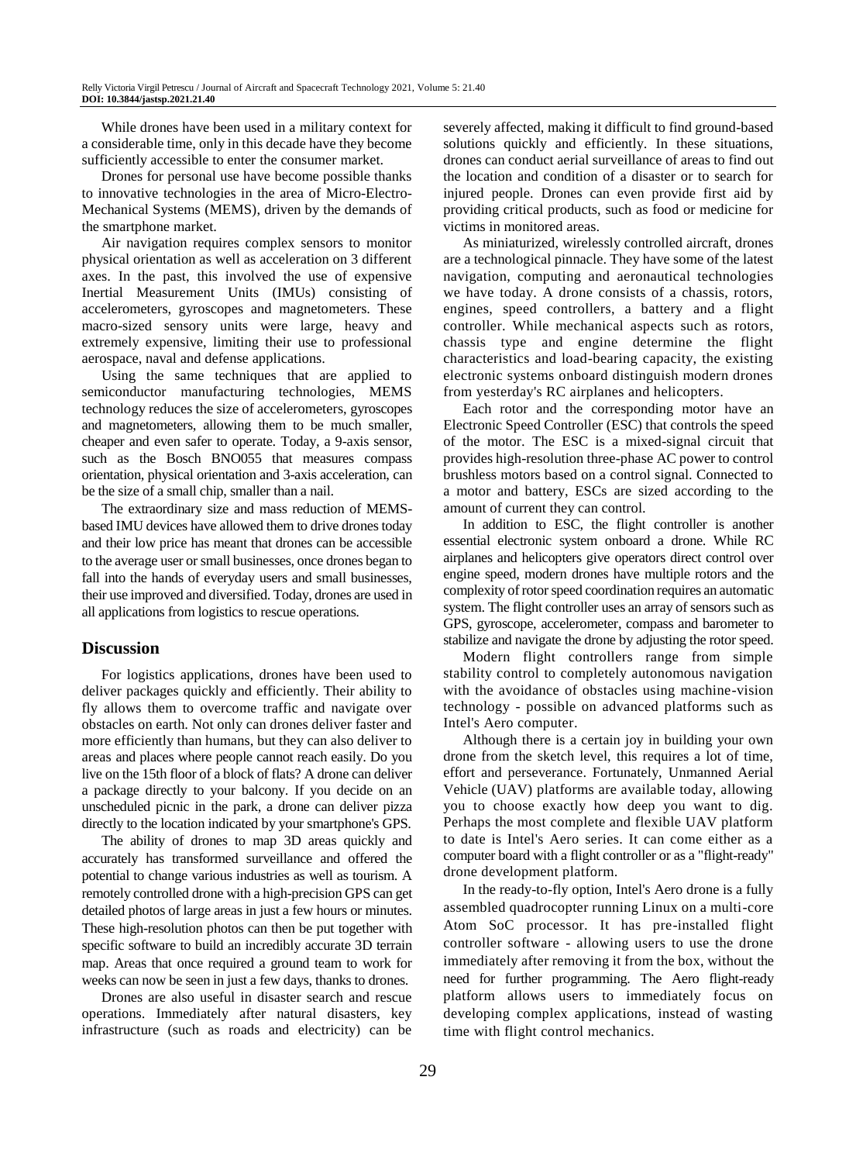While drones have been used in a military context for a considerable time, only in this decade have they become sufficiently accessible to enter the consumer market.

Drones for personal use have become possible thanks to innovative technologies in the area of Micro-Electro-Mechanical Systems (MEMS), driven by the demands of the smartphone market.

Air navigation requires complex sensors to monitor physical orientation as well as acceleration on 3 different axes. In the past, this involved the use of expensive Inertial Measurement Units (IMUs) consisting of accelerometers, gyroscopes and magnetometers. These macro-sized sensory units were large, heavy and extremely expensive, limiting their use to professional aerospace, naval and defense applications.

Using the same techniques that are applied to semiconductor manufacturing technologies, MEMS technology reduces the size of accelerometers, gyroscopes and magnetometers, allowing them to be much smaller, cheaper and even safer to operate. Today, a 9-axis sensor, such as the Bosch BNO055 that measures compass orientation, physical orientation and 3-axis acceleration, can be the size of a small chip, smaller than a nail.

The extraordinary size and mass reduction of MEMSbased IMU devices have allowed them to drive drones today and their low price has meant that drones can be accessible to the average user or small businesses, once drones began to fall into the hands of everyday users and small businesses, their use improved and diversified. Today, drones are used in all applications from logistics to rescue operations.

### **Discussion**

For logistics applications, drones have been used to deliver packages quickly and efficiently. Their ability to fly allows them to overcome traffic and navigate over obstacles on earth. Not only can drones deliver faster and more efficiently than humans, but they can also deliver to areas and places where people cannot reach easily. Do you live on the 15th floor of a block of flats? A drone can deliver a package directly to your balcony. If you decide on an unscheduled picnic in the park, a drone can deliver pizza directly to the location indicated by your smartphone's GPS.

The ability of drones to map 3D areas quickly and accurately has transformed surveillance and offered the potential to change various industries as well as tourism. A remotely controlled drone with a high-precision GPS can get detailed photos of large areas in just a few hours or minutes. These high-resolution photos can then be put together with specific software to build an incredibly accurate 3D terrain map. Areas that once required a ground team to work for weeks can now be seen in just a few days, thanks to drones.

Drones are also useful in disaster search and rescue operations. Immediately after natural disasters, key infrastructure (such as roads and electricity) can be severely affected, making it difficult to find ground-based solutions quickly and efficiently. In these situations, drones can conduct aerial surveillance of areas to find out the location and condition of a disaster or to search for injured people. Drones can even provide first aid by providing critical products, such as food or medicine for victims in monitored areas.

As miniaturized, wirelessly controlled aircraft, drones are a technological pinnacle. They have some of the latest navigation, computing and aeronautical technologies we have today. A drone consists of a chassis, rotors, engines, speed controllers, a battery and a flight controller. While mechanical aspects such as rotors, chassis type and engine determine the flight characteristics and load-bearing capacity, the existing electronic systems onboard distinguish modern drones from yesterday's RC airplanes and helicopters.

Each rotor and the corresponding motor have an Electronic Speed Controller (ESC) that controls the speed of the motor. The ESC is a mixed-signal circuit that provides high-resolution three-phase AC power to control brushless motors based on a control signal. Connected to a motor and battery, ESCs are sized according to the amount of current they can control.

In addition to ESC, the flight controller is another essential electronic system onboard a drone. While RC airplanes and helicopters give operators direct control over engine speed, modern drones have multiple rotors and the complexity of rotor speed coordination requires an automatic system. The flight controller uses an array of sensors such as GPS, gyroscope, accelerometer, compass and barometer to stabilize and navigate the drone by adjusting the rotor speed.

Modern flight controllers range from simple stability control to completely autonomous navigation with the avoidance of obstacles using machine-vision technology - possible on advanced platforms such as Intel's Aero computer.

Although there is a certain joy in building your own drone from the sketch level, this requires a lot of time, effort and perseverance. Fortunately, Unmanned Aerial Vehicle (UAV) platforms are available today, allowing you to choose exactly how deep you want to dig. Perhaps the most complete and flexible UAV platform to date is Intel's Aero series. It can come either as a computer board with a flight controller or as a "flight-ready" drone development platform.

In the ready-to-fly option, Intel's Aero drone is a fully assembled quadrocopter running Linux on a multi-core Atom SoC processor. It has pre-installed flight controller software - allowing users to use the drone immediately after removing it from the box, without the need for further programming. The Aero flight-ready platform allows users to immediately focus on developing complex applications, instead of wasting time with flight control mechanics.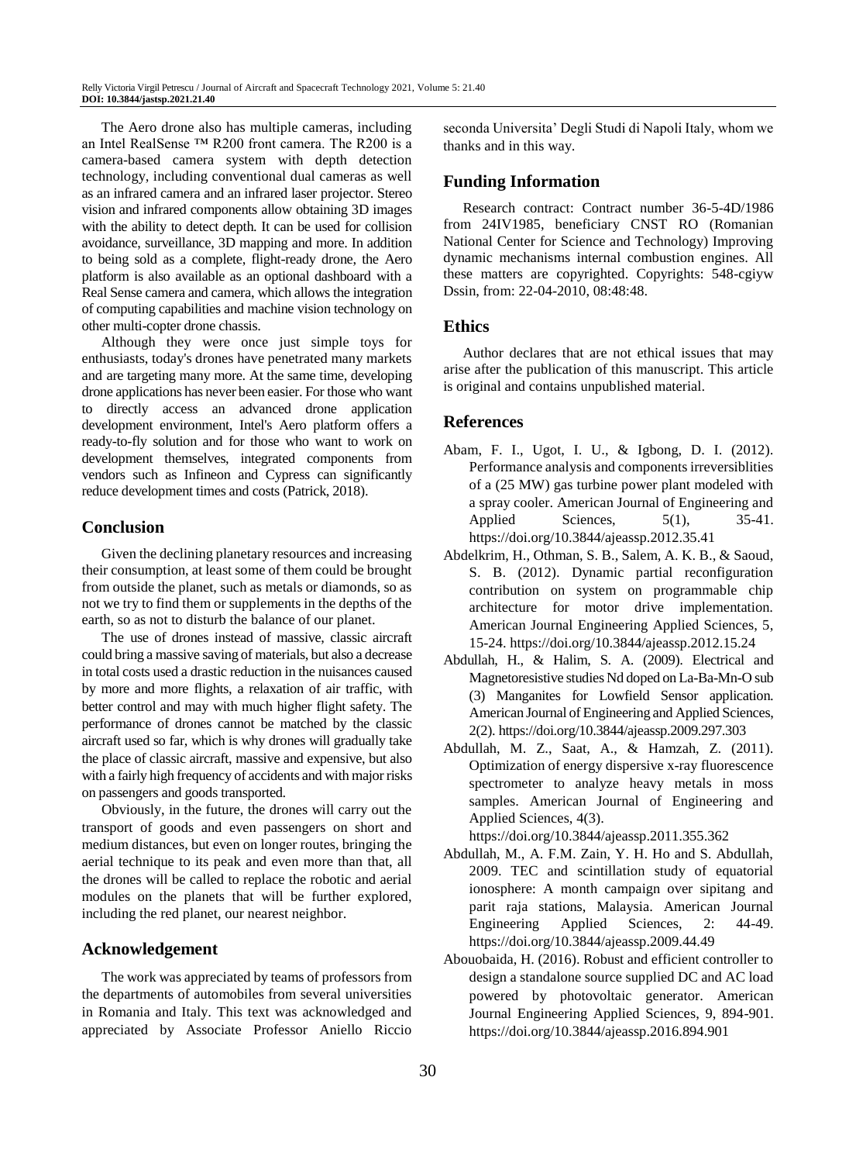The Aero drone also has multiple cameras, including an Intel RealSense ™ R200 front camera. The R200 is a camera-based camera system with depth detection technology, including conventional dual cameras as well as an infrared camera and an infrared laser projector. Stereo vision and infrared components allow obtaining 3D images with the ability to detect depth. It can be used for collision avoidance, surveillance, 3D mapping and more. In addition to being sold as a complete, flight-ready drone, the Aero platform is also available as an optional dashboard with a Real Sense camera and camera, which allows the integration of computing capabilities and machine vision technology on other multi-copter drone chassis.

Although they were once just simple toys for enthusiasts, today's drones have penetrated many markets and are targeting many more. At the same time, developing drone applications has never been easier. For those who want to directly access an advanced drone application development environment, Intel's Aero platform offers a ready-to-fly solution and for those who want to work on development themselves, integrated components from vendors such as Infineon and Cypress can significantly reduce development times and costs (Patrick, 2018).

# **Conclusion**

Given the declining planetary resources and increasing their consumption, at least some of them could be brought from outside the planet, such as metals or diamonds, so as not we try to find them or supplements in the depths of the earth, so as not to disturb the balance of our planet.

The use of drones instead of massive, classic aircraft could bring a massive saving of materials, but also a decrease in total costs used a drastic reduction in the nuisances caused by more and more flights, a relaxation of air traffic, with better control and may with much higher flight safety. The performance of drones cannot be matched by the classic aircraft used so far, which is why drones will gradually take the place of classic aircraft, massive and expensive, but also with a fairly high frequency of accidents and with major risks on passengers and goods transported.

Obviously, in the future, the drones will carry out the transport of goods and even passengers on short and medium distances, but even on longer routes, bringing the aerial technique to its peak and even more than that, all the drones will be called to replace the robotic and aerial modules on the planets that will be further explored, including the red planet, our nearest neighbor.

## **Acknowledgement**

The work was appreciated by teams of professors from the departments of automobiles from several universities in Romania and Italy. This text was acknowledged and appreciated by Associate Professor Aniello Riccio seconda Universita' Degli Studi di Napoli Italy, whom we thanks and in this way.

# **Funding Information**

Research contract: Contract number 36-5-4D/1986 from 24IV1985, beneficiary CNST RO (Romanian National Center for Science and Technology) Improving dynamic mechanisms internal combustion engines. All these matters are copyrighted. Copyrights: 548-cgiyw Dssin, from: 22-04-2010, 08:48:48.

# **Ethics**

Author declares that are not ethical issues that may arise after the publication of this manuscript. This article is original and contains unpublished material.

# **References**

- Abam, F. I., Ugot, I. U., & Igbong, D. I. (2012). Performance analysis and components irreversiblities of a (25 MW) gas turbine power plant modeled with a spray cooler. American Journal of Engineering and Applied Sciences, 5(1), 35-41. https://doi.org/10.3844/ajeassp.2012.35.41
- Abdelkrim, H., Othman, S. B., Salem, A. K. B., & Saoud, S. B. (2012). Dynamic partial reconfiguration contribution on system on programmable chip architecture for motor drive implementation. American Journal Engineering Applied Sciences, 5, 15-24. https://doi.org/10.3844/ajeassp.2012.15.24
- Abdullah, H., & Halim, S. A. (2009). Electrical and Magnetoresistive studies Nd doped on La-Ba-Mn-O sub (3) Manganites for Lowfield Sensor application. American Journal of Engineering and Applied Sciences, 2(2). https://doi.org/10.3844/ajeassp.2009.297.303
- Abdullah, M. Z., Saat, A., & Hamzah, Z. (2011). Optimization of energy dispersive x-ray fluorescence spectrometer to analyze heavy metals in moss samples. American Journal of Engineering and Applied Sciences, 4(3).

https://doi.org/10.3844/ajeassp.2011.355.362

- Abdullah, M., A. F.M. Zain, Y. H. Ho and S. Abdullah, 2009. TEC and scintillation study of equatorial ionosphere: A month campaign over sipitang and parit raja stations, Malaysia. American Journal Engineering Applied Sciences, 2: 44-49. https://doi.org/10.3844/ajeassp.2009.44.49
- Abouobaida, H. (2016). Robust and efficient controller to design a standalone source supplied DC and AC load powered by photovoltaic generator. American Journal Engineering Applied Sciences, 9, 894-901. https://doi.org/10.3844/ajeassp.2016.894.901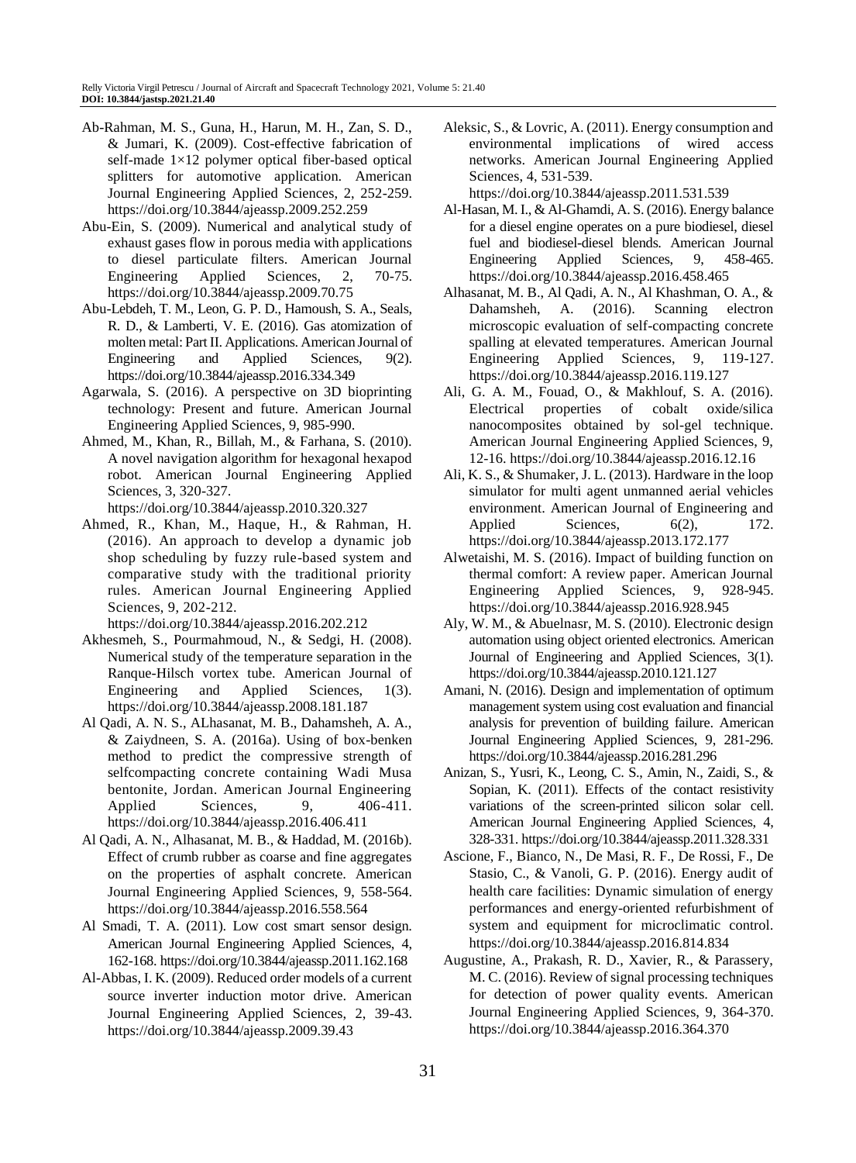- Ab-Rahman, M. S., Guna, H., Harun, M. H., Zan, S. D., & Jumari, K. (2009). Cost-effective fabrication of self-made 1×12 polymer optical fiber-based optical splitters for automotive application. American Journal Engineering Applied Sciences, 2, 252-259. https://doi.org/10.3844/ajeassp.2009.252.259
- Abu-Ein, S. (2009). Numerical and analytical study of exhaust gases flow in porous media with applications to diesel particulate filters. American Journal Engineering Applied Sciences, 2, 70-75. https://doi.org/10.3844/ajeassp.2009.70.75
- Abu-Lebdeh, T. M., Leon, G. P. D., Hamoush, S. A., Seals, R. D., & Lamberti, V. E. (2016). Gas atomization of molten metal: Part II. Applications. American Journal of Engineering and Applied Sciences, 9(2). https://doi.org/10.3844/ajeassp.2016.334.349
- Agarwala, S. (2016). A perspective on 3D bioprinting technology: Present and future. American Journal Engineering Applied Sciences, 9, 985-990.
- Ahmed, M., Khan, R., Billah, M., & Farhana, S. (2010). A novel navigation algorithm for hexagonal hexapod robot. American Journal Engineering Applied Sciences, 3, 320-327.

https://doi.org/10.3844/ajeassp.2010.320.327

Ahmed, R., Khan, M., Haque, H., & Rahman, H. (2016). An approach to develop a dynamic job shop scheduling by fuzzy rule-based system and comparative study with the traditional priority rules. American Journal Engineering Applied Sciences, 9, 202-212.

https://doi.org/10.3844/ajeassp.2016.202.212

- Akhesmeh, S., Pourmahmoud, N., & Sedgi, H. (2008). Numerical study of the temperature separation in the Ranque-Hilsch vortex tube. American Journal of Engineering and Applied Sciences, 1(3). https://doi.org/10.3844/ajeassp.2008.181.187
- Al Qadi, A. N. S., ALhasanat, M. B., Dahamsheh, A. A., & Zaiydneen, S. A. (2016a). Using of box-benken method to predict the compressive strength of selfcompacting concrete containing Wadi Musa bentonite, Jordan. American Journal Engineering Applied Sciences, 9, 406-411. https://doi.org/10.3844/ajeassp.2016.406.411
- Al Qadi, A. N., Alhasanat, M. B., & Haddad, M. (2016b). Effect of crumb rubber as coarse and fine aggregates on the properties of asphalt concrete. American Journal Engineering Applied Sciences, 9, 558-564. https://doi.org/10.3844/ajeassp.2016.558.564
- Al Smadi, T. A. (2011). Low cost smart sensor design. American Journal Engineering Applied Sciences, 4, 162-168. https://doi.org/10.3844/ajeassp.2011.162.168
- Al-Abbas, I. K. (2009). Reduced order models of a current source inverter induction motor drive. American Journal Engineering Applied Sciences, 2, 39-43. https://doi.org/10.3844/ajeassp.2009.39.43

Aleksic, S., & Lovric, A. (2011). Energy consumption and environmental implications of wired access networks. American Journal Engineering Applied Sciences, 4, 531-539.

https://doi.org/10.3844/ajeassp.2011.531.539

- Al-Hasan, M. I., & Al-Ghamdi, A. S. (2016). Energy balance for a diesel engine operates on a pure biodiesel, diesel fuel and biodiesel-diesel blends. American Journal Engineering Applied Sciences, 9, 458-465. https://doi.org/10.3844/ajeassp.2016.458.465
- Alhasanat, M. B., Al Qadi, A. N., Al Khashman, O. A., & Dahamsheh, A. (2016). Scanning electron microscopic evaluation of self-compacting concrete spalling at elevated temperatures. American Journal Engineering Applied Sciences, 9, 119-127. https://doi.org/10.3844/ajeassp.2016.119.127
- Ali, G. A. M., Fouad, O., & Makhlouf, S. A. (2016). Electrical properties of cobalt oxide/silica nanocomposites obtained by sol-gel technique. American Journal Engineering Applied Sciences, 9, 12-16. https://doi.org/10.3844/ajeassp.2016.12.16
- Ali, K. S., & Shumaker, J. L. (2013). Hardware in the loop simulator for multi agent unmanned aerial vehicles environment. American Journal of Engineering and Applied Sciences, 6(2), 172. https://doi.org/10.3844/ajeassp.2013.172.177
- Alwetaishi, M. S. (2016). Impact of building function on thermal comfort: A review paper. American Journal Engineering Applied Sciences, 9, 928-945. https://doi.org/10.3844/ajeassp.2016.928.945
- Aly, W. M., & Abuelnasr, M. S. (2010). Electronic design automation using object oriented electronics. American Journal of Engineering and Applied Sciences, 3(1). https://doi.org/10.3844/ajeassp.2010.121.127
- Amani, N. (2016). Design and implementation of optimum management system using cost evaluation and financial analysis for prevention of building failure. American Journal Engineering Applied Sciences, 9, 281-296. https://doi.org/10.3844/ajeassp.2016.281.296
- Anizan, S., Yusri, K., Leong, C. S., Amin, N., Zaidi, S., & Sopian, K. (2011). Effects of the contact resistivity variations of the screen-printed silicon solar cell. American Journal Engineering Applied Sciences, 4, 328-331. https://doi.org/10.3844/ajeassp.2011.328.331
- Ascione, F., Bianco, N., De Masi, R. F., De Rossi, F., De Stasio, C., & Vanoli, G. P. (2016). Energy audit of health care facilities: Dynamic simulation of energy performances and energy-oriented refurbishment of system and equipment for microclimatic control. https://doi.org/10.3844/ajeassp.2016.814.834
- Augustine, A., Prakash, R. D., Xavier, R., & Parassery, M. C. (2016). Review of signal processing techniques for detection of power quality events. American Journal Engineering Applied Sciences, 9, 364-370. https://doi.org/10.3844/ajeassp.2016.364.370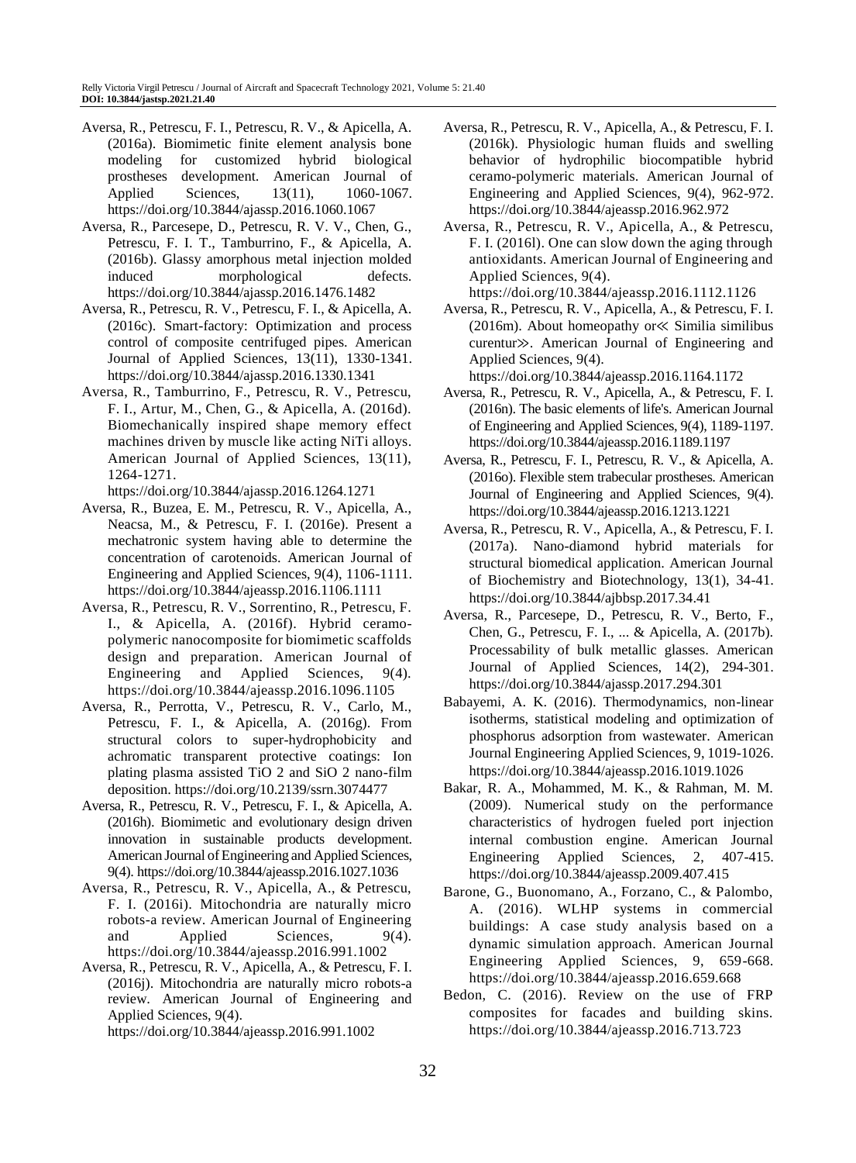- Aversa, R., Petrescu, F. I., Petrescu, R. V., & Apicella, A. (2016a). Biomimetic finite element analysis bone modeling for customized hybrid biological prostheses development. American Journal of Applied Sciences, 13(11), 1060-1067. https://doi.org/10.3844/ajassp.2016.1060.1067
- Aversa, R., Parcesepe, D., Petrescu, R. V. V., Chen, G., Petrescu, F. I. T., Tamburrino, F., & Apicella, A. (2016b). Glassy amorphous metal injection molded induced morphological defects. https://doi.org/10.3844/ajassp.2016.1476.1482
- Aversa, R., Petrescu, R. V., Petrescu, F. I., & Apicella, A. (2016c). Smart-factory: Optimization and process control of composite centrifuged pipes. American Journal of Applied Sciences, 13(11), 1330-1341. https://doi.org/10.3844/ajassp.2016.1330.1341
- Aversa, R., Tamburrino, F., Petrescu, R. V., Petrescu, F. I., Artur, M., Chen, G., & Apicella, A. (2016d). Biomechanically inspired shape memory effect machines driven by muscle like acting NiTi alloys. American Journal of Applied Sciences, 13(11), 1264-1271.

https://doi.org/10.3844/ajassp.2016.1264.1271

- Aversa, R., Buzea, E. M., Petrescu, R. V., Apicella, A., Neacsa, M., & Petrescu, F. I. (2016e). Present a mechatronic system having able to determine the concentration of carotenoids. American Journal of Engineering and Applied Sciences, 9(4), 1106-1111. https://doi.org/10.3844/ajeassp.2016.1106.1111
- Aversa, R., Petrescu, R. V., Sorrentino, R., Petrescu, F. I., & Apicella, A. (2016f). Hybrid ceramopolymeric nanocomposite for biomimetic scaffolds design and preparation. American Journal of Engineering and Applied Sciences, 9(4). https://doi.org/10.3844/ajeassp.2016.1096.1105
- Aversa, R., Perrotta, V., Petrescu, R. V., Carlo, M., Petrescu, F. I., & Apicella, A. (2016g). From structural colors to super-hydrophobicity and achromatic transparent protective coatings: Ion plating plasma assisted TiO 2 and SiO 2 nano-film deposition. https://doi.org/10.2139/ssrn.3074477
- Aversa, R., Petrescu, R. V., Petrescu, F. I., & Apicella, A. (2016h). Biomimetic and evolutionary design driven innovation in sustainable products development. American Journal of Engineering and Applied Sciences, 9(4). https://doi.org/10.3844/ajeassp.2016.1027.1036
- Aversa, R., Petrescu, R. V., Apicella, A., & Petrescu, F. I. (2016i). Mitochondria are naturally micro robots-a review. American Journal of Engineering and Applied Sciences, 9(4). https://doi.org/10.3844/ajeassp.2016.991.1002
- Aversa, R., Petrescu, R. V., Apicella, A., & Petrescu, F. I. (2016j). Mitochondria are naturally micro robots-a review. American Journal of Engineering and Applied Sciences, 9(4). https://doi.org/10.3844/ajeassp.2016.991.1002
- Aversa, R., Petrescu, R. V., Apicella, A., & Petrescu, F. I. (2016k). Physiologic human fluids and swelling behavior of hydrophilic biocompatible hybrid ceramo-polymeric materials. American Journal of Engineering and Applied Sciences, 9(4), 962-972. https://doi.org/10.3844/ajeassp.2016.962.972
- Aversa, R., Petrescu, R. V., Apicella, A., & Petrescu, F. I. (2016l). One can slow down the aging through antioxidants. American Journal of Engineering and Applied Sciences, 9(4).
- https://doi.org/10.3844/ajeassp.2016.1112.1126 Aversa, R., Petrescu, R. V., Apicella, A., & Petrescu, F. I. (2016m). About homeopathy or≪ Similia similibus curentur≫. American Journal of Engineering and Applied Sciences, 9(4).

https://doi.org/10.3844/ajeassp.2016.1164.1172

- Aversa, R., Petrescu, R. V., Apicella, A., & Petrescu, F. I. (2016n). The basic elements of life's. American Journal of Engineering and Applied Sciences, 9(4), 1189-1197. https://doi.org/10.3844/ajeassp.2016.1189.1197
- Aversa, R., Petrescu, F. I., Petrescu, R. V., & Apicella, A. (2016o). Flexible stem trabecular prostheses. American Journal of Engineering and Applied Sciences, 9(4). https://doi.org/10.3844/ajeassp.2016.1213.1221
- Aversa, R., Petrescu, R. V., Apicella, A., & Petrescu, F. I. (2017a). Nano-diamond hybrid materials for structural biomedical application. American Journal of Biochemistry and Biotechnology, 13(1), 34-41. https://doi.org/10.3844/ajbbsp.2017.34.41
- Aversa, R., Parcesepe, D., Petrescu, R. V., Berto, F., Chen, G., Petrescu, F. I., ... & Apicella, A. (2017b). Processability of bulk metallic glasses. American Journal of Applied Sciences, 14(2), 294-301. https://doi.org/10.3844/ajassp.2017.294.301
- Babayemi, A. K. (2016). Thermodynamics, non-linear isotherms, statistical modeling and optimization of phosphorus adsorption from wastewater. American Journal Engineering Applied Sciences, 9, 1019-1026. https://doi.org/10.3844/ajeassp.2016.1019.1026
- Bakar, R. A., Mohammed, M. K., & Rahman, M. M. (2009). Numerical study on the performance characteristics of hydrogen fueled port injection internal combustion engine. American Journal Engineering Applied Sciences, 2, 407-415. https://doi.org/10.3844/ajeassp.2009.407.415
- Barone, G., Buonomano, A., Forzano, C., & Palombo, A. (2016). WLHP systems in commercial buildings: A case study analysis based on a dynamic simulation approach. American Journal Engineering Applied Sciences, 9, 659-668. https://doi.org/10.3844/ajeassp.2016.659.668
- Bedon, C. (2016). Review on the use of FRP composites for facades and building skins. https://doi.org/10.3844/ajeassp.2016.713.723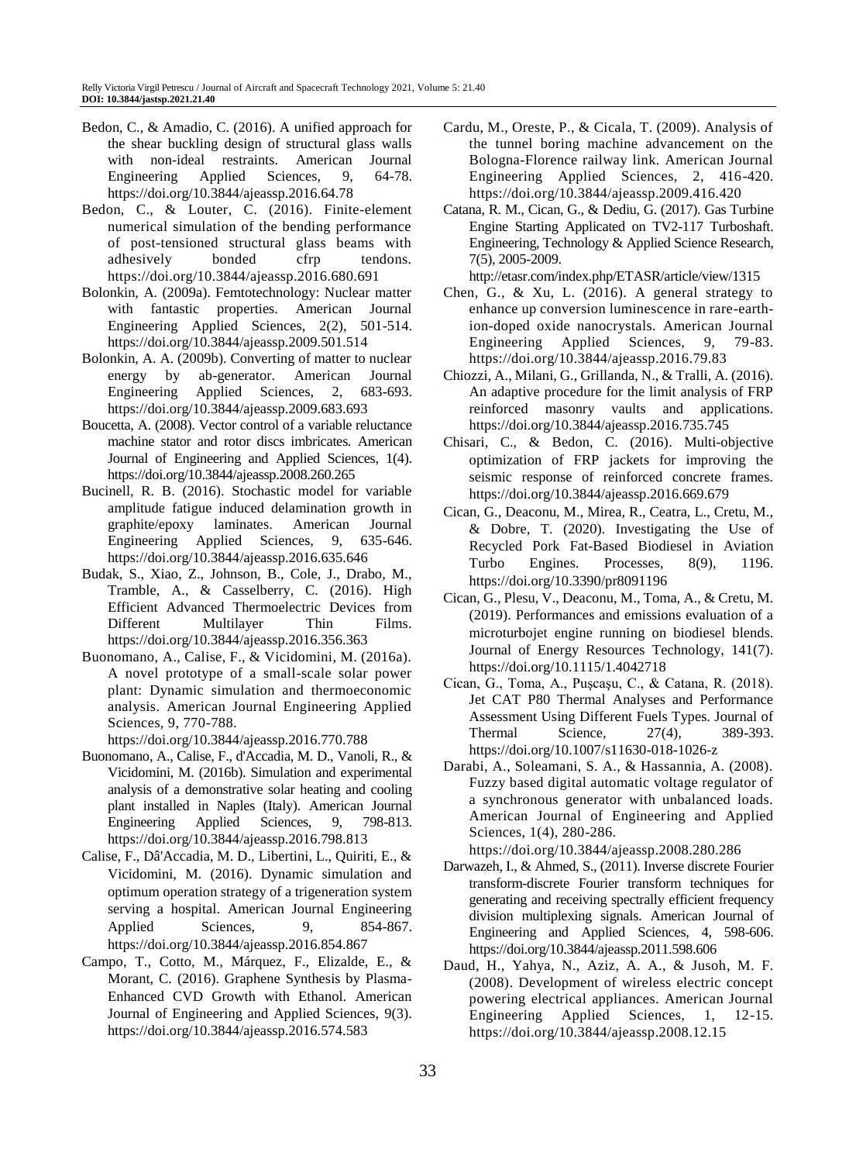- Bedon, C., & Amadio, C. (2016). A unified approach for the shear buckling design of structural glass walls with non-ideal restraints. American Journal Engineering Applied Sciences, 9, 64-78. https://doi.org/10.3844/ajeassp.2016.64.78
- Bedon, C., & Louter, C. (2016). Finite-element numerical simulation of the bending performance of post-tensioned structural glass beams with adhesively bonded cfrp tendons. https://doi.org/10.3844/ajeassp.2016.680.691
- Bolonkin, A. (2009a). Femtotechnology: Nuclear matter with fantastic properties. American Journal Engineering Applied Sciences, 2(2), 501-514. https://doi.org/10.3844/ajeassp.2009.501.514
- Bolonkin, A. A. (2009b). Converting of matter to nuclear energy by ab-generator. American Journal Engineering Applied Sciences, 2, 683-693. https://doi.org/10.3844/ajeassp.2009.683.693
- Boucetta, A. (2008). Vector control of a variable reluctance machine stator and rotor discs imbricates. American Journal of Engineering and Applied Sciences, 1(4). https://doi.org/10.3844/ajeassp.2008.260.265
- Bucinell, R. B. (2016). Stochastic model for variable amplitude fatigue induced delamination growth in graphite/epoxy laminates. American Journal Engineering Applied Sciences, 9, 635-646. https://doi.org/10.3844/ajeassp.2016.635.646
- Budak, S., Xiao, Z., Johnson, B., Cole, J., Drabo, M., Tramble, A., & Casselberry, C. (2016). High Efficient Advanced Thermoelectric Devices from Different Multilayer Thin Films. https://doi.org/10.3844/ajeassp.2016.356.363
- Buonomano, A., Calise, F., & Vicidomini, M. (2016a). A novel prototype of a small-scale solar power plant: Dynamic simulation and thermoeconomic analysis. American Journal Engineering Applied Sciences, 9, 770-788.

https://doi.org/10.3844/ajeassp.2016.770.788

- Buonomano, A., Calise, F., d'Accadia, M. D., Vanoli, R., & Vicidomini, M. (2016b). Simulation and experimental analysis of a demonstrative solar heating and cooling plant installed in Naples (Italy). American Journal Engineering Applied Sciences, 9, 798-813. https://doi.org/10.3844/ajeassp.2016.798.813
- Calise, F., Dâ'Accadia, M. D., Libertini, L., Quiriti, E., & Vicidomini, M. (2016). Dynamic simulation and optimum operation strategy of a trigeneration system serving a hospital. American Journal Engineering Applied Sciences, 9, 854-867. https://doi.org/10.3844/ajeassp.2016.854.867
- Campo, T., Cotto, M., Márquez, F., Elizalde, E., & Morant, C. (2016). Graphene Synthesis by Plasma-Enhanced CVD Growth with Ethanol. American Journal of Engineering and Applied Sciences, 9(3). https://doi.org/10.3844/ajeassp.2016.574.583
- Cardu, M., Oreste, P., & Cicala, T. (2009). Analysis of the tunnel boring machine advancement on the Bologna-Florence railway link. American Journal Engineering Applied Sciences, 2, 416-420. https://doi.org/10.3844/ajeassp.2009.416.420
- Catana, R. M., Cican, G., & Dediu, G. (2017). Gas Turbine Engine Starting Applicated on TV2-117 Turboshaft. Engineering, Technology & Applied Science Research, 7(5), 2005-2009.

http://etasr.com/index.php/ETASR/article/view/1315

- Chen, G., & Xu, L. (2016). A general strategy to enhance up conversion luminescence in rare-earthion-doped oxide nanocrystals. American Journal Engineering Applied Sciences, 9, 79-83. https://doi.org/10.3844/ajeassp.2016.79.83
- Chiozzi, A., Milani, G., Grillanda, N., & Tralli, A. (2016). An adaptive procedure for the limit analysis of FRP reinforced masonry vaults and applications. https://doi.org/10.3844/ajeassp.2016.735.745
- Chisari, C., & Bedon, C. (2016). Multi-objective optimization of FRP jackets for improving the seismic response of reinforced concrete frames. https://doi.org/10.3844/ajeassp.2016.669.679
- Cican, G., Deaconu, M., Mirea, R., Ceatra, L., Cretu, M., & Dobre, T. (2020). Investigating the Use of Recycled Pork Fat-Based Biodiesel in Aviation Turbo Engines. Processes, 8(9), 1196. https://doi.org/10.3390/pr8091196
- Cican, G., Plesu, V., Deaconu, M., Toma, A., & Cretu, M. (2019). Performances and emissions evaluation of a microturbojet engine running on biodiesel blends. Journal of Energy Resources Technology, 141(7). https://doi.org/10.1115/1.4042718
- Cican, G., Toma, A., Puşcaşu, C., & Catana, R. (2018). Jet CAT P80 Thermal Analyses and Performance Assessment Using Different Fuels Types. Journal of Thermal Science, 27(4), 389-393. https://doi.org/10.1007/s11630-018-1026-z
- Darabi, A., Soleamani, S. A., & Hassannia, A. (2008). Fuzzy based digital automatic voltage regulator of a synchronous generator with unbalanced loads. American Journal of Engineering and Applied Sciences, 1(4), 280-286.
- https://doi.org/10.3844/ajeassp.2008.280.286 Darwazeh, I., & Ahmed, S., (2011). Inverse discrete Fourier transform-discrete Fourier transform techniques for generating and receiving spectrally efficient frequency division multiplexing signals. American Journal of Engineering and Applied Sciences, 4, 598-606. https://doi.org/10.3844/ajeassp.2011.598.606
- Daud, H., Yahya, N., Aziz, A. A., & Jusoh, M. F. (2008). Development of wireless electric concept powering electrical appliances. American Journal Engineering Applied Sciences, 1, 12-15. https://doi.org/10.3844/ajeassp.2008.12.15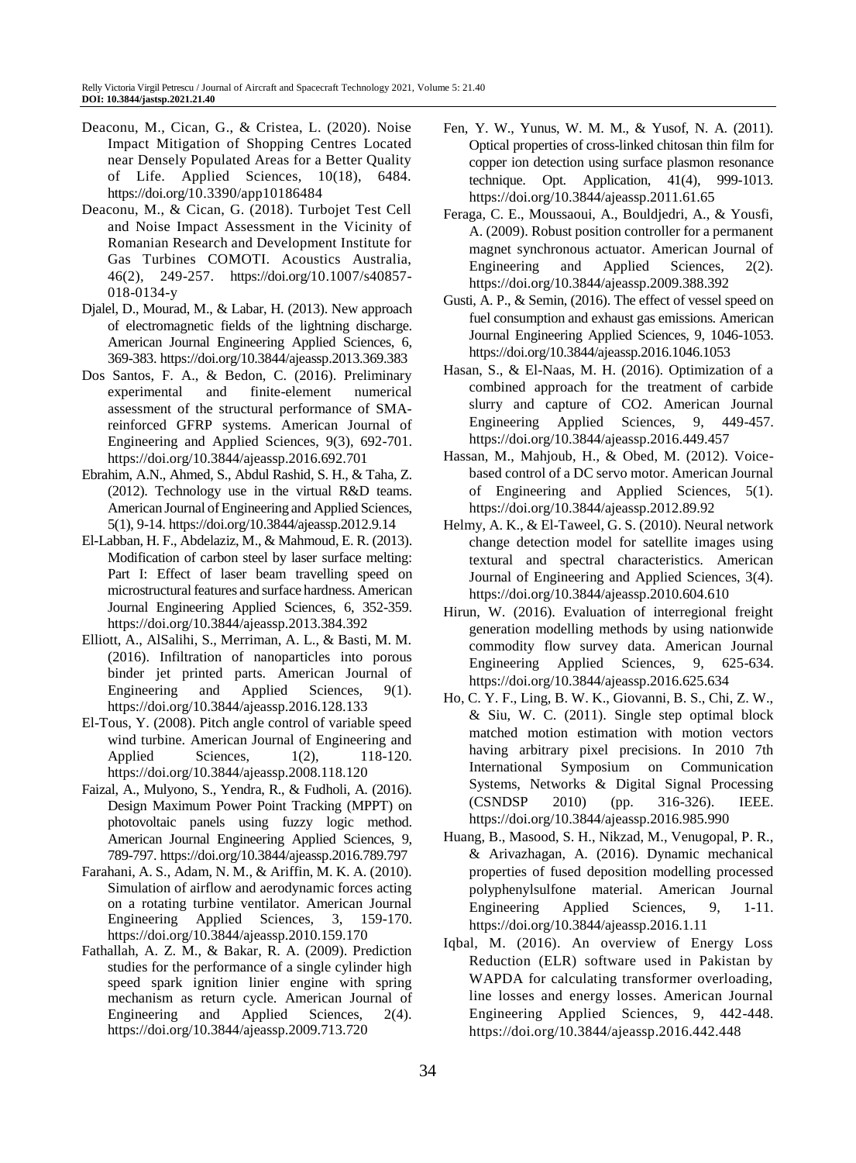- Deaconu, M., Cican, G., & Cristea, L. (2020). Noise Impact Mitigation of Shopping Centres Located near Densely Populated Areas for a Better Quality of Life. Applied Sciences, 10(18), 6484. https://doi.org/10.3390/app10186484
- Deaconu, M., & Cican, G. (2018). Turbojet Test Cell and Noise Impact Assessment in the Vicinity of Romanian Research and Development Institute for Gas Turbines COMOTI. Acoustics Australia, 46(2), 249-257. https://doi.org/10.1007/s40857- 018-0134-y
- Djalel, D., Mourad, M., & Labar, H. (2013). New approach of electromagnetic fields of the lightning discharge. American Journal Engineering Applied Sciences, 6, 369-383. https://doi.org/10.3844/ajeassp.2013.369.383
- Dos Santos, F. A., & Bedon, C. (2016). Preliminary experimental and finite-element numerical assessment of the structural performance of SMAreinforced GFRP systems. American Journal of Engineering and Applied Sciences, 9(3), 692-701. https://doi.org/10.3844/ajeassp.2016.692.701
- Ebrahim, A.N., Ahmed, S., Abdul Rashid, S. H., & Taha, Z. (2012). Technology use in the virtual R&D teams. American Journal of Engineering and Applied Sciences, 5(1), 9-14. https://doi.org/10.3844/ajeassp.2012.9.14
- El-Labban, H. F., Abdelaziz, M., & Mahmoud, E. R. (2013). Modification of carbon steel by laser surface melting: Part I: Effect of laser beam travelling speed on microstructural features and surface hardness. American Journal Engineering Applied Sciences, 6, 352-359. https://doi.org/10.3844/ajeassp.2013.384.392
- Elliott, A., AlSalihi, S., Merriman, A. L., & Basti, M. M. (2016). Infiltration of nanoparticles into porous binder jet printed parts. American Journal of Engineering and Applied Sciences, 9(1). https://doi.org/10.3844/ajeassp.2016.128.133
- El-Tous, Y. (2008). Pitch angle control of variable speed wind turbine. American Journal of Engineering and Applied Sciences, 1(2), 118-120. https://doi.org/10.3844/ajeassp.2008.118.120
- Faizal, A., Mulyono, S., Yendra, R., & Fudholi, A. (2016). Design Maximum Power Point Tracking (MPPT) on photovoltaic panels using fuzzy logic method. American Journal Engineering Applied Sciences, 9, 789-797. https://doi.org/10.3844/ajeassp.2016.789.797
- Farahani, A. S., Adam, N. M., & Ariffin, M. K. A. (2010). Simulation of airflow and aerodynamic forces acting on a rotating turbine ventilator. American Journal Engineering Applied Sciences, 3, 159-170. https://doi.org/10.3844/ajeassp.2010.159.170
- Fathallah, A. Z. M., & Bakar, R. A. (2009). Prediction studies for the performance of a single cylinder high speed spark ignition linier engine with spring mechanism as return cycle. American Journal of Engineering and Applied Sciences, 2(4). https://doi.org/10.3844/ajeassp.2009.713.720
- Fen, Y. W., Yunus, W. M. M., & Yusof, N. A. (2011). Optical properties of cross-linked chitosan thin film for copper ion detection using surface plasmon resonance technique. Opt. Application, 41(4), 999-1013. https://doi.org/10.3844/ajeassp.2011.61.65
- Feraga, C. E., Moussaoui, A., Bouldjedri, A., & Yousfi, A. (2009). Robust position controller for a permanent magnet synchronous actuator. American Journal of Engineering and Applied Sciences, 2(2). https://doi.org/10.3844/ajeassp.2009.388.392
- Gusti, A. P., & Semin, (2016). The effect of vessel speed on fuel consumption and exhaust gas emissions. American Journal Engineering Applied Sciences, 9, 1046-1053. https://doi.org/10.3844/ajeassp.2016.1046.1053
- Hasan, S., & El-Naas, M. H. (2016). Optimization of a combined approach for the treatment of carbide slurry and capture of CO2. American Journal Engineering Applied Sciences, 9, 449-457. https://doi.org/10.3844/ajeassp.2016.449.457
- Hassan, M., Mahjoub, H., & Obed, M. (2012). Voicebased control of a DC servo motor. American Journal of Engineering and Applied Sciences, 5(1). https://doi.org/10.3844/ajeassp.2012.89.92
- Helmy, A. K., & El-Taweel, G. S. (2010). Neural network change detection model for satellite images using textural and spectral characteristics. American Journal of Engineering and Applied Sciences, 3(4). https://doi.org/10.3844/ajeassp.2010.604.610
- Hirun, W. (2016). Evaluation of interregional freight generation modelling methods by using nationwide commodity flow survey data. American Journal Engineering Applied Sciences, 9, 625-634. https://doi.org/10.3844/ajeassp.2016.625.634
- Ho, C. Y. F., Ling, B. W. K., Giovanni, B. S., Chi, Z. W., & Siu, W. C. (2011). Single step optimal block matched motion estimation with motion vectors having arbitrary pixel precisions. In 2010 7th International Symposium on Communication Systems, Networks & Digital Signal Processing (CSNDSP 2010) (pp. 316-326). IEEE. https://doi.org/10.3844/ajeassp.2016.985.990
- Huang, B., Masood, S. H., Nikzad, M., Venugopal, P. R., & Arivazhagan, A. (2016). Dynamic mechanical properties of fused deposition modelling processed polyphenylsulfone material. American Journal Engineering Applied Sciences, 9, 1-11. https://doi.org/10.3844/ajeassp.2016.1.11
- Iqbal, M. (2016). An overview of Energy Loss Reduction (ELR) software used in Pakistan by WAPDA for calculating transformer overloading, line losses and energy losses. American Journal Engineering Applied Sciences, 9, 442-448. https://doi.org/10.3844/ajeassp.2016.442.448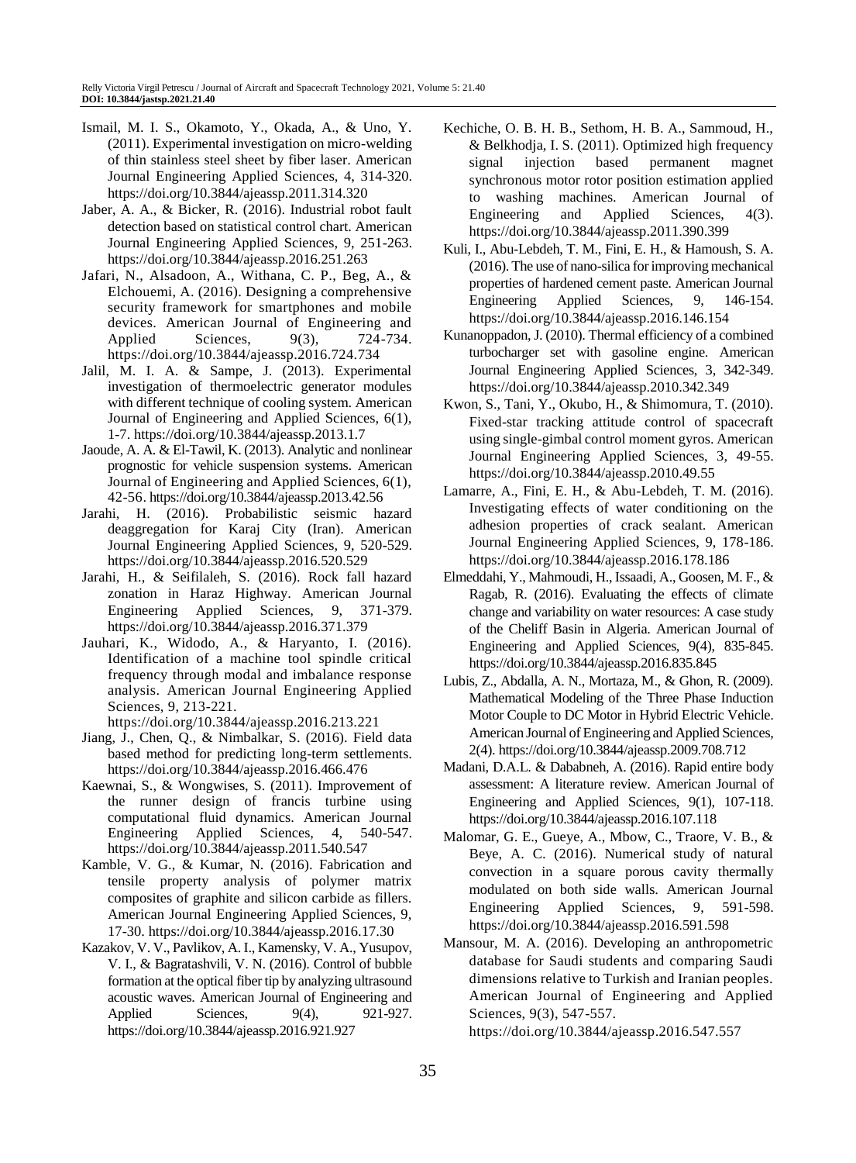- Ismail, M. I. S., Okamoto, Y., Okada, A., & Uno, Y. (2011). Experimental investigation on micro-welding of thin stainless steel sheet by fiber laser. American Journal Engineering Applied Sciences, 4, 314-320. https://doi.org/10.3844/ajeassp.2011.314.320
- Jaber, A. A., & Bicker, R. (2016). Industrial robot fault detection based on statistical control chart. American Journal Engineering Applied Sciences, 9, 251-263. https://doi.org/10.3844/ajeassp.2016.251.263
- Jafari, N., Alsadoon, A., Withana, C. P., Beg, A., & Elchouemi, A. (2016). Designing a comprehensive security framework for smartphones and mobile devices. American Journal of Engineering and Applied Sciences, 9(3), 724-734. https://doi.org/10.3844/ajeassp.2016.724.734
- Jalil, M. I. A. & Sampe, J. (2013). Experimental investigation of thermoelectric generator modules with different technique of cooling system. American Journal of Engineering and Applied Sciences, 6(1), 1-7. https://doi.org/10.3844/ajeassp.2013.1.7
- Jaoude, A. A. & El-Tawil, K. (2013). Analytic and nonlinear prognostic for vehicle suspension systems. American Journal of Engineering and Applied Sciences, 6(1), 42-56. https://doi.org/10.3844/ajeassp.2013.42.56
- Jarahi, H. (2016). Probabilistic seismic hazard deaggregation for Karaj City (Iran). American Journal Engineering Applied Sciences, 9, 520-529. https://doi.org/10.3844/ajeassp.2016.520.529
- Jarahi, H., & Seifilaleh, S. (2016). Rock fall hazard zonation in Haraz Highway. American Journal Engineering Applied Sciences, 9, 371-379. https://doi.org/10.3844/ajeassp.2016.371.379
- Jauhari, K., Widodo, A., & Haryanto, I. (2016). Identification of a machine tool spindle critical frequency through modal and imbalance response analysis. American Journal Engineering Applied Sciences, 9, 213-221.

https://doi.org/10.3844/ajeassp.2016.213.221

- Jiang, J., Chen, Q., & Nimbalkar, S. (2016). Field data based method for predicting long-term settlements. https://doi.org/10.3844/ajeassp.2016.466.476
- Kaewnai, S., & Wongwises, S. (2011). Improvement of the runner design of francis turbine using computational fluid dynamics. American Journal Engineering Applied Sciences, 4, 540-547. https://doi.org/10.3844/ajeassp.2011.540.547
- Kamble, V. G., & Kumar, N. (2016). Fabrication and tensile property analysis of polymer matrix composites of graphite and silicon carbide as fillers. American Journal Engineering Applied Sciences, 9, 17-30. https://doi.org/10.3844/ajeassp.2016.17.30
- Kazakov, V. V., Pavlikov, A. I., Kamensky, V. A., Yusupov, V. I., & Bagratashvili, V. N. (2016). Control of bubble formation at the optical fiber tip by analyzing ultrasound acoustic waves. American Journal of Engineering and Applied Sciences, 9(4), 921-927. https://doi.org/10.3844/ajeassp.2016.921.927
- Kechiche, O. B. H. B., Sethom, H. B. A., Sammoud, H., & Belkhodja, I. S. (2011). Optimized high frequency signal injection based permanent magnet synchronous motor rotor position estimation applied to washing machines. American Journal of Engineering and Applied Sciences, 4(3). https://doi.org/10.3844/ajeassp.2011.390.399
- Kuli, I., Abu-Lebdeh, T. M., Fini, E. H., & Hamoush, S. A. (2016). The use of nano-silica for improving mechanical properties of hardened cement paste. American Journal Engineering Applied Sciences, 9, 146-154. https://doi.org/10.3844/ajeassp.2016.146.154
- Kunanoppadon, J. (2010). Thermal efficiency of a combined turbocharger set with gasoline engine. American Journal Engineering Applied Sciences, 3, 342-349. https://doi.org/10.3844/ajeassp.2010.342.349
- Kwon, S., Tani, Y., Okubo, H., & Shimomura, T. (2010). Fixed-star tracking attitude control of spacecraft using single-gimbal control moment gyros. American Journal Engineering Applied Sciences, 3, 49-55. https://doi.org/10.3844/ajeassp.2010.49.55
- Lamarre, A., Fini, E. H., & Abu-Lebdeh, T. M. (2016). Investigating effects of water conditioning on the adhesion properties of crack sealant. American Journal Engineering Applied Sciences, 9, 178-186. https://doi.org/10.3844/ajeassp.2016.178.186
- Elmeddahi, Y., Mahmoudi, H., Issaadi, A., Goosen, M. F., & Ragab, R. (2016). Evaluating the effects of climate change and variability on water resources: A case study of the Cheliff Basin in Algeria. American Journal of Engineering and Applied Sciences, 9(4), 835-845. https://doi.org/10.3844/ajeassp.2016.835.845
- Lubis, Z., Abdalla, A. N., Mortaza, M., & Ghon, R. (2009). Mathematical Modeling of the Three Phase Induction Motor Couple to DC Motor in Hybrid Electric Vehicle. American Journal of Engineering and Applied Sciences, 2(4). https://doi.org/10.3844/ajeassp.2009.708.712
- Madani, D.A.L. & Dababneh, A. (2016). Rapid entire body assessment: A literature review. American Journal of Engineering and Applied Sciences, 9(1), 107-118. https://doi.org/10.3844/ajeassp.2016.107.118
- Malomar, G. E., Gueye, A., Mbow, C., Traore, V. B., & Beye, A. C. (2016). Numerical study of natural convection in a square porous cavity thermally modulated on both side walls. American Journal Engineering Applied Sciences, 9, 591-598. https://doi.org/10.3844/ajeassp.2016.591.598
- Mansour, M. A. (2016). Developing an anthropometric database for Saudi students and comparing Saudi dimensions relative to Turkish and Iranian peoples. American Journal of Engineering and Applied Sciences, 9(3), 547-557.

https://doi.org/10.3844/ajeassp.2016.547.557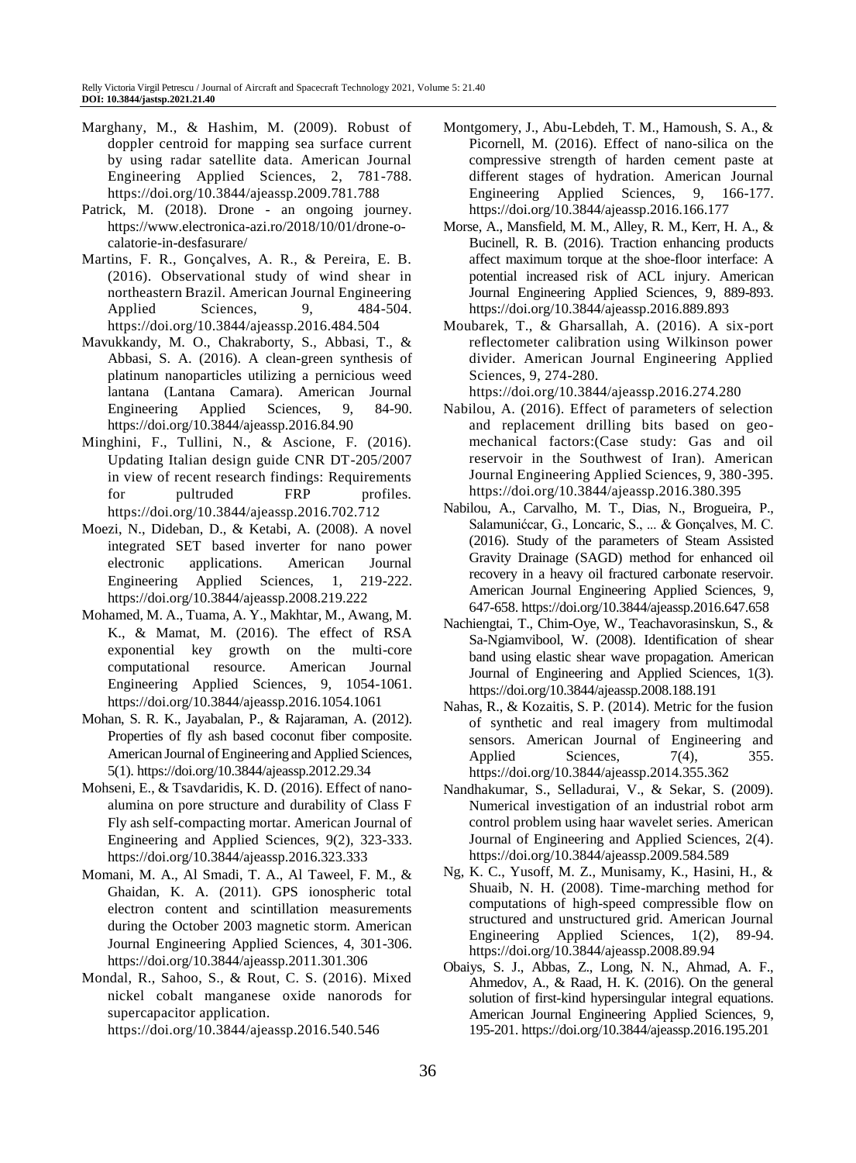- Marghany, M., & Hashim, M. (2009). Robust of doppler centroid for mapping sea surface current by using radar satellite data. American Journal Engineering Applied Sciences, 2, 781-788. https://doi.org/10.3844/ajeassp.2009.781.788
- Patrick, M. (2018). Drone an ongoing journey. https://www.electronica-azi.ro/2018/10/01/drone-ocalatorie-in-desfasurare/
- Martins, F. R., Gonçalves, A. R., & Pereira, E. B. (2016). Observational study of wind shear in northeastern Brazil. American Journal Engineering Applied Sciences, 9, 484-504. https://doi.org/10.3844/ajeassp.2016.484.504
- Mavukkandy, M. O., Chakraborty, S., Abbasi, T., & Abbasi, S. A. (2016). A clean-green synthesis of platinum nanoparticles utilizing a pernicious weed lantana (Lantana Camara). American Journal Engineering Applied Sciences, 9, 84-90. https://doi.org/10.3844/ajeassp.2016.84.90
- Minghini, F., Tullini, N., & Ascione, F. (2016). Updating Italian design guide CNR DT-205/2007 in view of recent research findings: Requirements for pultruded FRP profiles. https://doi.org/10.3844/ajeassp.2016.702.712
- Moezi, N., Dideban, D., & Ketabi, A. (2008). A novel integrated SET based inverter for nano power electronic applications. American Journal Engineering Applied Sciences, 1, 219-222. https://doi.org/10.3844/ajeassp.2008.219.222
- Mohamed, M. A., Tuama, A. Y., Makhtar, M., Awang, M. K., & Mamat, M. (2016). The effect of RSA exponential key growth on the multi-core computational resource. American Journal Engineering Applied Sciences, 9, 1054-1061. https://doi.org/10.3844/ajeassp.2016.1054.1061
- Mohan, S. R. K., Jayabalan, P., & Rajaraman, A. (2012). Properties of fly ash based coconut fiber composite. American Journal of Engineering and Applied Sciences, 5(1). https://doi.org/10.3844/ajeassp.2012.29.34
- Mohseni, E., & Tsavdaridis, K. D. (2016). Effect of nanoalumina on pore structure and durability of Class F Fly ash self-compacting mortar. American Journal of Engineering and Applied Sciences, 9(2), 323-333. https://doi.org/10.3844/ajeassp.2016.323.333
- Momani, M. A., Al Smadi, T. A., Al Taweel, F. M., & Ghaidan, K. A. (2011). GPS ionospheric total electron content and scintillation measurements during the October 2003 magnetic storm. American Journal Engineering Applied Sciences, 4, 301-306. https://doi.org/10.3844/ajeassp.2011.301.306
- Mondal, R., Sahoo, S., & Rout, C. S. (2016). Mixed nickel cobalt manganese oxide nanorods for supercapacitor application. https://doi.org/10.3844/ajeassp.2016.540.546
- Montgomery, J., Abu-Lebdeh, T. M., Hamoush, S. A., & Picornell, M. (2016). Effect of nano-silica on the compressive strength of harden cement paste at different stages of hydration. American Journal Engineering Applied Sciences, 9, 166-177. https://doi.org/10.3844/ajeassp.2016.166.177
- Morse, A., Mansfield, M. M., Alley, R. M., Kerr, H. A., & Bucinell, R. B. (2016). Traction enhancing products affect maximum torque at the shoe-floor interface: A potential increased risk of ACL injury. American Journal Engineering Applied Sciences, 9, 889-893. https://doi.org/10.3844/ajeassp.2016.889.893
- Moubarek, T., & Gharsallah, A. (2016). A six-port reflectometer calibration using Wilkinson power divider. American Journal Engineering Applied Sciences, 9, 274-280.

https://doi.org/10.3844/ajeassp.2016.274.280

- Nabilou, A. (2016). Effect of parameters of selection and replacement drilling bits based on geomechanical factors:(Case study: Gas and oil reservoir in the Southwest of Iran). American Journal Engineering Applied Sciences, 9, 380-395. https://doi.org/10.3844/ajeassp.2016.380.395
- Nabilou, A., Carvalho, M. T., Dias, N., Brogueira, P., Salamunićcar, G., Loncaric, S., ... & Gonçalves, M. C. (2016). Study of the parameters of Steam Assisted Gravity Drainage (SAGD) method for enhanced oil recovery in a heavy oil fractured carbonate reservoir. American Journal Engineering Applied Sciences, 9, 647-658. https://doi.org/10.3844/ajeassp.2016.647.658
- Nachiengtai, T., Chim-Oye, W., Teachavorasinskun, S., & Sa-Ngiamvibool, W. (2008). Identification of shear band using elastic shear wave propagation. American Journal of Engineering and Applied Sciences, 1(3). https://doi.org/10.3844/ajeassp.2008.188.191
- Nahas, R., & Kozaitis, S. P. (2014). Metric for the fusion of synthetic and real imagery from multimodal sensors. American Journal of Engineering and Applied Sciences, 7(4), 355. https://doi.org/10.3844/ajeassp.2014.355.362
- Nandhakumar, S., Selladurai, V., & Sekar, S. (2009). Numerical investigation of an industrial robot arm control problem using haar wavelet series. American Journal of Engineering and Applied Sciences, 2(4). https://doi.org/10.3844/ajeassp.2009.584.589
- Ng, K. C., Yusoff, M. Z., Munisamy, K., Hasini, H., & Shuaib, N. H. (2008). Time-marching method for computations of high-speed compressible flow on structured and unstructured grid. American Journal Engineering Applied Sciences, 1(2), 89-94. https://doi.org/10.3844/ajeassp.2008.89.94
- Obaiys, S. J., Abbas, Z., Long, N. N., Ahmad, A. F., Ahmedov, A., & Raad, H. K. (2016). On the general solution of first-kind hypersingular integral equations. American Journal Engineering Applied Sciences, 9, 195-201. https://doi.org/10.3844/ajeassp.2016.195.201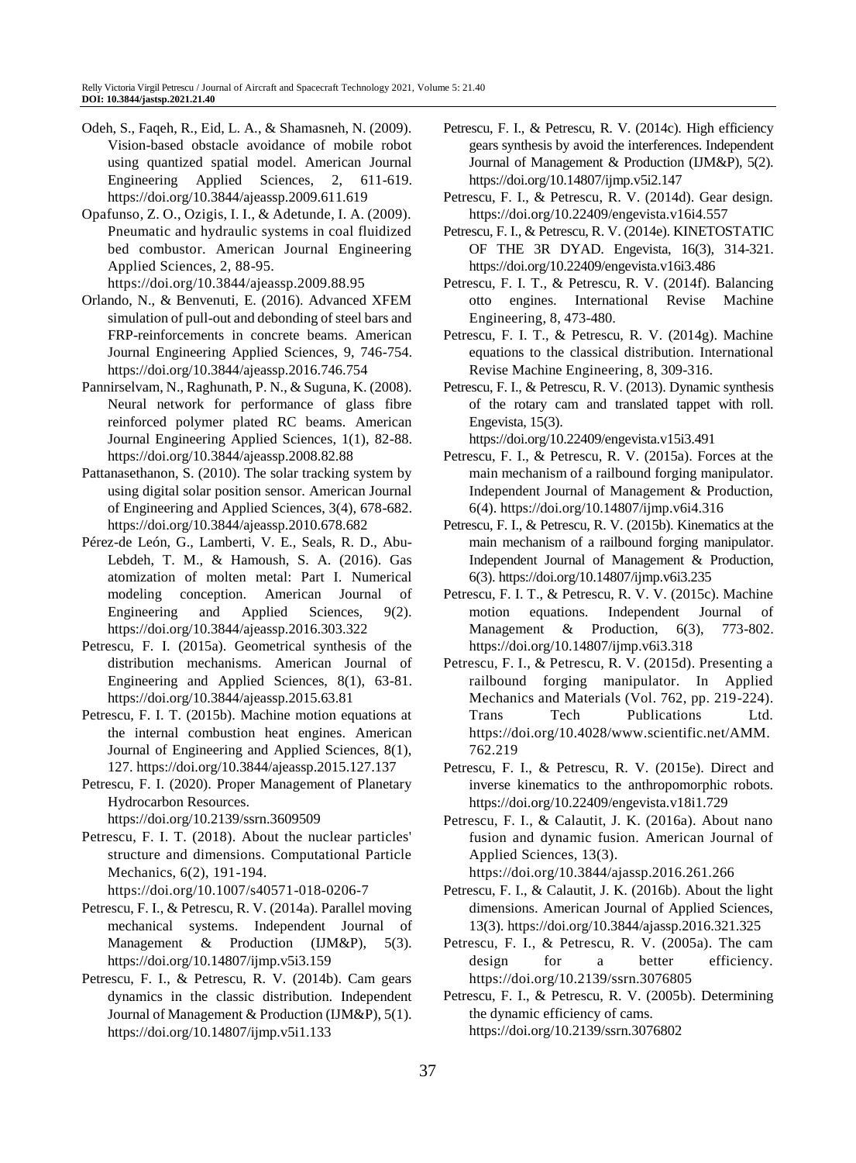- Odeh, S., Faqeh, R., Eid, L. A., & Shamasneh, N. (2009). Vision-based obstacle avoidance of mobile robot using quantized spatial model. American Journal Engineering Applied Sciences, 2, 611-619. https://doi.org/10.3844/ajeassp.2009.611.619
- Opafunso, Z. O., Ozigis, I. I., & Adetunde, I. A. (2009). Pneumatic and hydraulic systems in coal fluidized bed combustor. American Journal Engineering Applied Sciences, 2, 88-95. https://doi.org/10.3844/ajeassp.2009.88.95
- Orlando, N., & Benvenuti, E. (2016). Advanced XFEM simulation of pull-out and debonding of steel bars and FRP-reinforcements in concrete beams. American Journal Engineering Applied Sciences, 9, 746-754. https://doi.org/10.3844/ajeassp.2016.746.754
- Pannirselvam, N., Raghunath, P. N., & Suguna, K. (2008). Neural network for performance of glass fibre reinforced polymer plated RC beams. American Journal Engineering Applied Sciences, 1(1), 82-88. https://doi.org/10.3844/ajeassp.2008.82.88
- Pattanasethanon, S. (2010). The solar tracking system by using digital solar position sensor. American Journal of Engineering and Applied Sciences, 3(4), 678-682. https://doi.org/10.3844/ajeassp.2010.678.682
- Pérez-de León, G., Lamberti, V. E., Seals, R. D., Abu-Lebdeh, T. M., & Hamoush, S. A. (2016). Gas atomization of molten metal: Part I. Numerical modeling conception. American Journal of Engineering and Applied Sciences, 9(2). https://doi.org/10.3844/ajeassp.2016.303.322
- Petrescu, F. I. (2015a). Geometrical synthesis of the distribution mechanisms. American Journal of Engineering and Applied Sciences, 8(1), 63-81. https://doi.org/10.3844/ajeassp.2015.63.81
- Petrescu, F. I. T. (2015b). Machine motion equations at the internal combustion heat engines. American Journal of Engineering and Applied Sciences, 8(1), 127. https://doi.org/10.3844/ajeassp.2015.127.137
- Petrescu, F. I. (2020). Proper Management of Planetary Hydrocarbon Resources.

https://doi.org/10.2139/ssrn.3609509

- Petrescu, F. I. T. (2018). About the nuclear particles' structure and dimensions. Computational Particle Mechanics, 6(2), 191-194. https://doi.org/10.1007/s40571-018-0206-7
- Petrescu, F. I., & Petrescu, R. V. (2014a). Parallel moving mechanical systems. Independent Journal of Management & Production (IJM&P), 5(3). https://doi.org/10.14807/ijmp.v5i3.159
- Petrescu, F. I., & Petrescu, R. V. (2014b). Cam gears dynamics in the classic distribution. Independent Journal of Management & Production (IJM&P), 5(1). https://doi.org/10.14807/ijmp.v5i1.133
- Petrescu, F. I., & Petrescu, R. V. (2014c). High efficiency gears synthesis by avoid the interferences. Independent Journal of Management & Production (IJM&P), 5(2). https://doi.org/10.14807/ijmp.v5i2.147
- Petrescu, F. I., & Petrescu, R. V. (2014d). Gear design. https://doi.org/10.22409/engevista.v16i4.557
- Petrescu, F. I., & Petrescu, R. V. (2014e). KINETOSTATIC OF THE 3R DYAD. Engevista, 16(3), 314-321. https://doi.org/10.22409/engevista.v16i3.486
- Petrescu, F. I. T., & Petrescu, R. V. (2014f). Balancing otto engines. International Revise Machine Engineering, 8, 473-480.
- Petrescu, F. I. T., & Petrescu, R. V. (2014g). Machine equations to the classical distribution. International Revise Machine Engineering, 8, 309-316.
- Petrescu, F. I., & Petrescu, R. V. (2013). Dynamic synthesis of the rotary cam and translated tappet with roll. Engevista, 15(3).

https://doi.org/10.22409/engevista.v15i3.491

- Petrescu, F. I., & Petrescu, R. V. (2015a). Forces at the main mechanism of a railbound forging manipulator. Independent Journal of Management & Production, 6(4). https://doi.org/10.14807/ijmp.v6i4.316
- Petrescu, F. I., & Petrescu, R. V. (2015b). Kinematics at the main mechanism of a railbound forging manipulator. Independent Journal of Management & Production, 6(3). https://doi.org/10.14807/ijmp.v6i3.235
- Petrescu, F. I. T., & Petrescu, R. V. V. (2015c). Machine motion equations. Independent Journal of Management & Production, 6(3), 773-802. https://doi.org/10.14807/ijmp.v6i3.318
- Petrescu, F. I., & Petrescu, R. V. (2015d). Presenting a railbound forging manipulator. In Applied Mechanics and Materials (Vol. 762, pp. 219-224). Trans Tech Publications Ltd. https://doi.org/10.4028/www.scientific.net/AMM. 762.219
- Petrescu, F. I., & Petrescu, R. V. (2015e). Direct and inverse kinematics to the anthropomorphic robots. https://doi.org/10.22409/engevista.v18i1.729
- Petrescu, F. I., & Calautit, J. K. (2016a). About nano fusion and dynamic fusion. American Journal of Applied Sciences, 13(3). https://doi.org/10.3844/ajassp.2016.261.266
- Petrescu, F. I., & Calautit, J. K. (2016b). About the light dimensions. American Journal of Applied Sciences, 13(3). https://doi.org/10.3844/ajassp.2016.321.325
- Petrescu, F. I., & Petrescu, R. V. (2005a). The cam design for a better efficiency. https://doi.org/10.2139/ssrn.3076805
- Petrescu, F. I., & Petrescu, R. V. (2005b). Determining the dynamic efficiency of cams. https://doi.org/10.2139/ssrn.3076802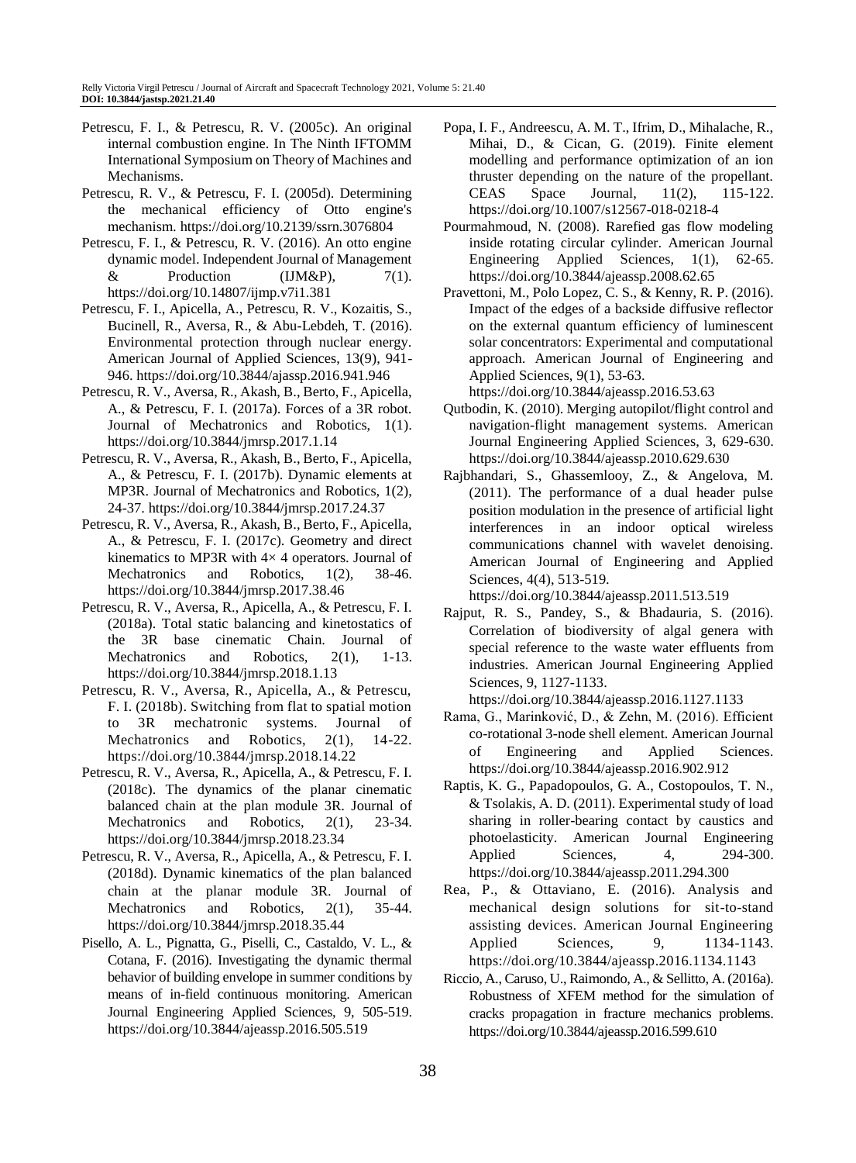- Petrescu, F. I., & Petrescu, R. V. (2005c). An original internal combustion engine. In The Ninth IFTOMM International Symposium on Theory of Machines and Mechanisms.
- Petrescu, R. V., & Petrescu, F. I. (2005d). Determining the mechanical efficiency of Otto engine's mechanism. https://doi.org/10.2139/ssrn.3076804
- Petrescu, F. I., & Petrescu, R. V. (2016). An otto engine dynamic model. Independent Journal of Management  $\&$  Production (IJM&P), 7(1). https://doi.org/10.14807/ijmp.v7i1.381
- Petrescu, F. I., Apicella, A., Petrescu, R. V., Kozaitis, S., Bucinell, R., Aversa, R., & Abu-Lebdeh, T. (2016). Environmental protection through nuclear energy. American Journal of Applied Sciences, 13(9), 941- 946. https://doi.org/10.3844/ajassp.2016.941.946
- Petrescu, R. V., Aversa, R., Akash, B., Berto, F., Apicella, A., & Petrescu, F. I. (2017a). Forces of a 3R robot. Journal of Mechatronics and Robotics, 1(1). https://doi.org/10.3844/jmrsp.2017.1.14
- Petrescu, R. V., Aversa, R., Akash, B., Berto, F., Apicella, A., & Petrescu, F. I. (2017b). Dynamic elements at MP3R. Journal of Mechatronics and Robotics, 1(2), 24-37. https://doi.org/10.3844/jmrsp.2017.24.37
- Petrescu, R. V., Aversa, R., Akash, B., Berto, F., Apicella, A., & Petrescu, F. I. (2017c). Geometry and direct kinematics to MP3R with  $4\times 4$  operators. Journal of Mechatronics and Robotics, 1(2), 38-46. https://doi.org/10.3844/jmrsp.2017.38.46
- Petrescu, R. V., Aversa, R., Apicella, A., & Petrescu, F. I. (2018a). Total static balancing and kinetostatics of the 3R base cinematic Chain. Journal of Mechatronics and Robotics, 2(1), 1-13. https://doi.org/10.3844/jmrsp.2018.1.13
- Petrescu, R. V., Aversa, R., Apicella, A., & Petrescu, F. I. (2018b). Switching from flat to spatial motion to 3R mechatronic systems. Journal of Mechatronics and Robotics, 2(1), 14-22. https://doi.org/10.3844/jmrsp.2018.14.22
- Petrescu, R. V., Aversa, R., Apicella, A., & Petrescu, F. I. (2018c). The dynamics of the planar cinematic balanced chain at the plan module 3R. Journal of Mechatronics and Robotics, 2(1), 23-34. https://doi.org/10.3844/jmrsp.2018.23.34
- Petrescu, R. V., Aversa, R., Apicella, A., & Petrescu, F. I. (2018d). Dynamic kinematics of the plan balanced chain at the planar module 3R. Journal of Mechatronics and Robotics, 2(1), 35-44. https://doi.org/10.3844/jmrsp.2018.35.44
- Pisello, A. L., Pignatta, G., Piselli, C., Castaldo, V. L., & Cotana, F. (2016). Investigating the dynamic thermal behavior of building envelope in summer conditions by means of in-field continuous monitoring. American Journal Engineering Applied Sciences, 9, 505-519. https://doi.org/10.3844/ajeassp.2016.505.519
- Popa, I. F., Andreescu, A. M. T., Ifrim, D., Mihalache, R., Mihai, D., & Cican, G. (2019). Finite element modelling and performance optimization of an ion thruster depending on the nature of the propellant. CEAS Space Journal, 11(2), 115-122. https://doi.org/10.1007/s12567-018-0218-4
- Pourmahmoud, N. (2008). Rarefied gas flow modeling inside rotating circular cylinder. American Journal Engineering Applied Sciences, 1(1), 62-65. https://doi.org/10.3844/ajeassp.2008.62.65
- Pravettoni, M., Polo Lopez, C. S., & Kenny, R. P. (2016). Impact of the edges of a backside diffusive reflector on the external quantum efficiency of luminescent solar concentrators: Experimental and computational approach. American Journal of Engineering and Applied Sciences, 9(1), 53-63.

https://doi.org/10.3844/ajeassp.2016.53.63

- Qutbodin, K. (2010). Merging autopilot/flight control and navigation-flight management systems. American Journal Engineering Applied Sciences, 3, 629-630. https://doi.org/10.3844/ajeassp.2010.629.630
- Rajbhandari, S., Ghassemlooy, Z., & Angelova, M. (2011). The performance of a dual header pulse position modulation in the presence of artificial light interferences in an indoor optical wireless communications channel with wavelet denoising. American Journal of Engineering and Applied Sciences, 4(4), 513-519.

https://doi.org/10.3844/ajeassp.2011.513.519

Rajput, R. S., Pandey, S., & Bhadauria, S. (2016). Correlation of biodiversity of algal genera with special reference to the waste water effluents from industries. American Journal Engineering Applied Sciences, 9, 1127-1133.

https://doi.org/10.3844/ajeassp.2016.1127.1133

- Rama, G., Marinković, D., & Zehn, M. (2016). Efficient co-rotational 3-node shell element. American Journal of Engineering and Applied Sciences. https://doi.org/10.3844/ajeassp.2016.902.912
- Raptis, K. G., Papadopoulos, G. A., Costopoulos, T. N., & Tsolakis, A. D. (2011). Experimental study of load sharing in roller-bearing contact by caustics and photoelasticity. American Journal Engineering Applied Sciences, 4, 294-300. https://doi.org/10.3844/ajeassp.2011.294.300
- Rea, P., & Ottaviano, E. (2016). Analysis and mechanical design solutions for sit-to-stand assisting devices. American Journal Engineering Applied Sciences, 9, 1134-1143. https://doi.org/10.3844/ajeassp.2016.1134.1143
- Riccio, A., Caruso, U., Raimondo, A., & Sellitto, A. (2016a). Robustness of XFEM method for the simulation of cracks propagation in fracture mechanics problems. https://doi.org/10.3844/ajeassp.2016.599.610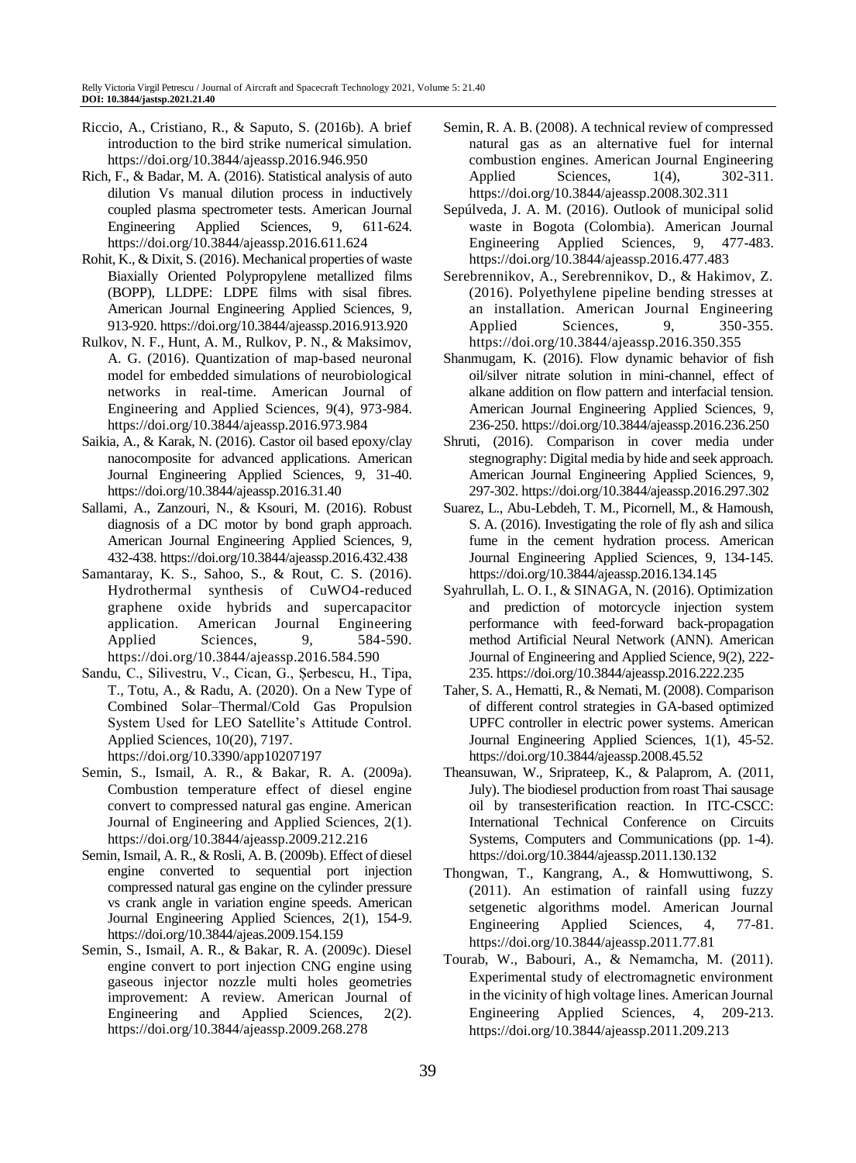- Riccio, A., Cristiano, R., & Saputo, S. (2016b). A brief introduction to the bird strike numerical simulation. https://doi.org/10.3844/ajeassp.2016.946.950
- Rich, F., & Badar, M. A. (2016). Statistical analysis of auto dilution Vs manual dilution process in inductively coupled plasma spectrometer tests. American Journal Engineering Applied Sciences, 9, 611-624. https://doi.org/10.3844/ajeassp.2016.611.624
- Rohit, K., & Dixit, S. (2016). Mechanical properties of waste Biaxially Oriented Polypropylene metallized films (BOPP), LLDPE: LDPE films with sisal fibres. American Journal Engineering Applied Sciences, 9, 913-920. https://doi.org/10.3844/ajeassp.2016.913.920
- Rulkov, N. F., Hunt, A. M., Rulkov, P. N., & Maksimov, A. G. (2016). Quantization of map-based neuronal model for embedded simulations of neurobiological networks in real-time. American Journal of Engineering and Applied Sciences, 9(4), 973-984. https://doi.org/10.3844/ajeassp.2016.973.984
- Saikia, A., & Karak, N. (2016). Castor oil based epoxy/clay nanocomposite for advanced applications. American Journal Engineering Applied Sciences, 9, 31-40. https://doi.org/10.3844/ajeassp.2016.31.40
- Sallami, A., Zanzouri, N., & Ksouri, M. (2016). Robust diagnosis of a DC motor by bond graph approach. American Journal Engineering Applied Sciences, 9, 432-438. https://doi.org/10.3844/ajeassp.2016.432.438
- Samantaray, K. S., Sahoo, S., & Rout, C. S. (2016). Hydrothermal synthesis of CuWO4-reduced graphene oxide hybrids and supercapacitor application. American Journal Engineering Applied Sciences, 9, 584-590. https://doi.org/10.3844/ajeassp.2016.584.590
- Sandu, C., Silivestru, V., Cican, G., Șerbescu, H., Tipa, T., Totu, A., & Radu, A. (2020). On a New Type of Combined Solar–Thermal/Cold Gas Propulsion System Used for LEO Satellite's Attitude Control. Applied Sciences, 10(20), 7197. https://doi.org/10.3390/app10207197
- Semin, S., Ismail, A. R., & Bakar, R. A. (2009a). Combustion temperature effect of diesel engine convert to compressed natural gas engine. American Journal of Engineering and Applied Sciences, 2(1). https://doi.org/10.3844/ajeassp.2009.212.216
- Semin, Ismail, A. R., & Rosli, A. B. (2009b). Effect of diesel engine converted to sequential port injection compressed natural gas engine on the cylinder pressure vs crank angle in variation engine speeds. American Journal Engineering Applied Sciences, 2(1), 154-9. https://doi.org/10.3844/ajeas.2009.154.159
- Semin, S., Ismail, A. R., & Bakar, R. A. (2009c). Diesel engine convert to port injection CNG engine using gaseous injector nozzle multi holes geometries improvement: A review. American Journal of Engineering and Applied Sciences, 2(2). https://doi.org/10.3844/ajeassp.2009.268.278
- Semin, R. A. B. (2008). A technical review of compressed natural gas as an alternative fuel for internal combustion engines. American Journal Engineering Applied Sciences, 1(4), 302-311. https://doi.org/10.3844/ajeassp.2008.302.311
- Sepúlveda, J. A. M. (2016). Outlook of municipal solid waste in Bogota (Colombia). American Journal Engineering Applied Sciences, 9, 477-483. https://doi.org/10.3844/ajeassp.2016.477.483
- Serebrennikov, A., Serebrennikov, D., & Hakimov, Z. (2016). Polyethylene pipeline bending stresses at an installation. American Journal Engineering Applied Sciences, 9, 350-355. https://doi.org/10.3844/ajeassp.2016.350.355
- Shanmugam, K. (2016). Flow dynamic behavior of fish oil/silver nitrate solution in mini-channel, effect of alkane addition on flow pattern and interfacial tension. American Journal Engineering Applied Sciences, 9, 236-250. https://doi.org/10.3844/ajeassp.2016.236.250
- Shruti, (2016). Comparison in cover media under stegnography: Digital media by hide and seek approach. American Journal Engineering Applied Sciences, 9, 297-302. https://doi.org/10.3844/ajeassp.2016.297.302
- Suarez, L., Abu-Lebdeh, T. M., Picornell, M., & Hamoush, S. A. (2016). Investigating the role of fly ash and silica fume in the cement hydration process. American Journal Engineering Applied Sciences, 9, 134-145. https://doi.org/10.3844/ajeassp.2016.134.145
- Syahrullah, L. O. I., & SINAGA, N. (2016). Optimization and prediction of motorcycle injection system performance with feed-forward back-propagation method Artificial Neural Network (ANN). American Journal of Engineering and Applied Science, 9(2), 222- 235. https://doi.org/10.3844/ajeassp.2016.222.235
- Taher, S. A., Hematti, R., & Nemati, M. (2008). Comparison of different control strategies in GA-based optimized UPFC controller in electric power systems. American Journal Engineering Applied Sciences, 1(1), 45-52. https://doi.org/10.3844/ajeassp.2008.45.52
- Theansuwan, W., Sriprateep, K., & Palaprom, A. (2011, July). The biodiesel production from roast Thai sausage oil by transesterification reaction. In ITC-CSCC: International Technical Conference on Circuits Systems, Computers and Communications (pp. 1-4). https://doi.org/10.3844/ajeassp.2011.130.132
- Thongwan, T., Kangrang, A., & Homwuttiwong, S. (2011). An estimation of rainfall using fuzzy setgenetic algorithms model. American Journal Engineering Applied Sciences, 4, 77-81. https://doi.org/10.3844/ajeassp.2011.77.81
- Tourab, W., Babouri, A., & Nemamcha, M. (2011). Experimental study of electromagnetic environment in the vicinity of high voltage lines. American Journal Engineering Applied Sciences, 4, 209-213. https://doi.org/10.3844/ajeassp.2011.209.213